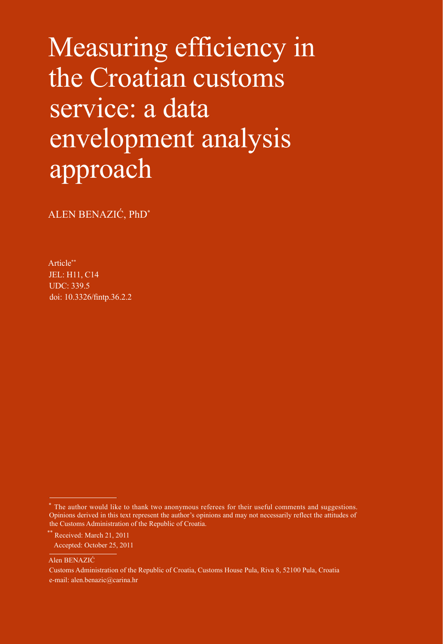# Measuring efficiency in the Croatian customs service: a data envelopment analysis approach

ALEN BENAZIĆ, PhD\*

Article\*\* JEL: H11, C14 UDC: 339.5 [doi: 10.3326/fintp.36.2.](http://dx.doi.org/10.3326/fintp.36.2.2)2

Alen BENAZIĆ

Customs Administration of the Republic of Croatia, Customs House Pula, Riva 8, 52100 Pula, Croatia e-mail: alen.benazic@carina.hr

<sup>\*</sup> The author would like to thank two anonymous referees for their useful comments and suggestions. Opinions derived in this text represent the author's opinions and may not necessarily reflect the attitudes of the Customs Administration of the Republic of Croatia.

<sup>\*\*</sup> Received: March 21, 2011

Accepted: October 25, 2011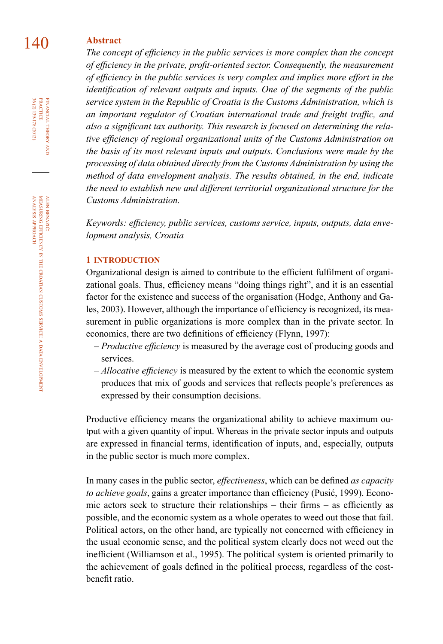#### 140 **Abstract**

*The concept of efficiency in the public services is more complex than the concept of efficiency in the private, profit-oriented sector. Consequently, the measurement of efficiency in the public services is very complex and implies more effort in the identification of relevant outputs and inputs. One of the segments of the public service system in the Republic of Croatia is the Customs Administration, which is an important regulator of Croatian international trade and freight traffic, and also a significant tax authority. This research is focused on determining the relative efficiency of regional organizational units of the Customs Administration on the basis of its most relevant inputs and outputs. Conclusions were made by the processing of data obtained directly from the Customs Administration by using the method of data envelopment analysis. The results obtained, in the end, indicate the need to establish new and different territorial organizational structure for the Customs Administration.*

*Keywords: efficiency, public services, customs service, inputs, outputs, data envelopment analysis, Croatia*

#### **1 introduction**

Organizational design is aimed to contribute to the efficient fulfilment of organizational goals. Thus, efficiency means "doing things right", and it is an essential factor for the existence and success of the organisation (Hodge, Anthony and Gales, 2003). However, although the importance of efficiency is recognized, its measurement in public organizations is more complex than in the private sector. In economics, there are two definitions of efficiency (Flynn, 1997):

- *Productive efficiency* is measured by the average cost of producing goods and services.
- *Allocative efficiency* is measured by the extent to which the economic system produces that mix of goods and services that reflects people's preferences as expressed by their consumption decisions.

Productive efficiency means the organizational ability to achieve maximum output with a given quantity of input. Whereas in the private sector inputs and outputs are expressed in financial terms, identification of inputs, and, especially, outputs in the public sector is much more complex.

In many cases in the public sector, *effectiveness*, which can be defined *as capacity to achieve goals*, gains a greater importance than efficiency (Pusić, 1999). Economic actors seek to structure their relationships – their firms – as efficiently as possible, and the economic system as a whole operates to weed out those that fail. Political actors, on the other hand, are typically not concerned with efficiency in the usual economic sense, and the political system clearly does not weed out the inefficient (Williamson et al., 1995). The political system is oriented primarily to the achievement of goals defined in the political process, regardless of the costbenefit ratio.

36 (2) 139-178 (2012) FINANCIAL THEORY<br>PRACTICE 36 (2) 139-178 (2012) PRACTICE financial theory and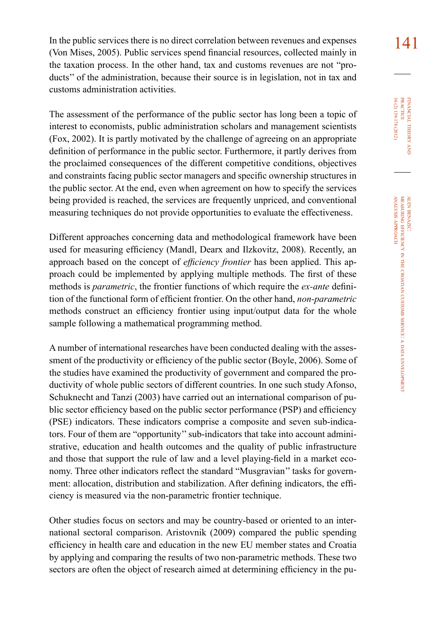In the public services there is no direct correlation between revenues and expenses  $\frac{141}{14}$ (Von Mises, 2005). Public services spend financial resources, collected mainly in the taxation process. In the other hand, tax and customs revenues are not "products'' of the administration, because their source is in legislation, not in tax and customs administration activities.

The assessment of the performance of the public sector has long been a topic of interest to economists, public administration scholars and management scientists (Fox, 2002). It is partly motivated by the challenge of agreeing on an appropriate definition of performance in the public sector. Furthermore, it partly derives from the proclaimed consequences of the different competitive conditions, objectives and constraints facing public sector managers and specific ownership structures in the public sector. At the end, even when agreement on how to specify the services being provided is reached, the services are frequently unpriced, and conventional measuring techniques do not provide opportunities to evaluate the effectiveness.

Different approaches concerning data and methodological framework have been used for measuring efficiency (Mandl, Dearx and Ilzkovitz, 2008). Recently, an approach based on the concept of *efficiency frontier* has been applied. This approach could be implemented by applying multiple methods. The first of these methods is *parametric*, the frontier functions of which require the *ex-ante* definition of the functional form of efficient frontier. On the other hand, *non-parametric* methods construct an efficiency frontier using input/output data for the whole sample following a mathematical programming method.

A number of international researches have been conducted dealing with the assessment of the productivity or efficiency of the public sector (Boyle, 2006). Some of the studies have examined the productivity of government and compared the productivity of whole public sectors of different countries. In one such study Afonso, Schuknecht and Tanzi (2003) have carried out an international comparison of public sector efficiency based on the public sector performance (PSP) and efficiency (PSE) indicators. These indicators comprise a composite and seven sub-indicators. Four of them are "opportunity'' sub-indicators that take into account administrative, education and health outcomes and the quality of public infrastructure and those that support the rule of law and a level playing-field in a market economy. Three other indicators reflect the standard "Musgravian'' tasks for government: allocation, distribution and stabilization. After defining indicators, the efficiency is measured via the non-parametric frontier technique.

Other studies focus on sectors and may be country-based or oriented to an international sectoral comparison. Aristovnik (2009) compared the public spending efficiency in health care and education in the new EU member states and Croatia by applying and comparing the results of two non-parametric methods. These two sectors are often the object of research aimed at determining efficiency in the pu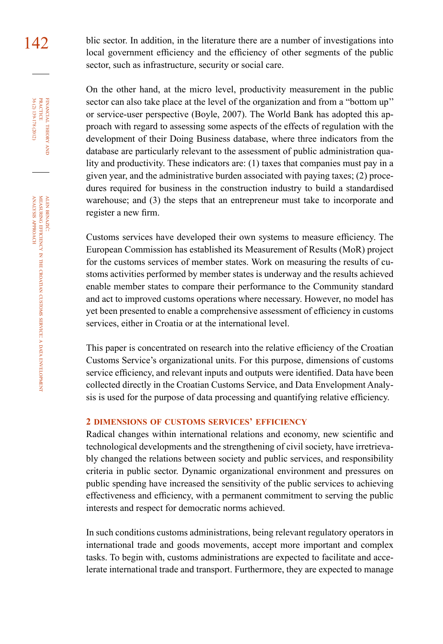142 blic sector. In addition, in the literature there are a number of investigations into local government efficiency and the efficiency of other segments of the public sector, such as infrastructure, security or social care.

> On the other hand, at the micro level, productivity measurement in the public sector can also take place at the level of the organization and from a "bottom up'' or service-user perspective (Boyle, 2007). The World Bank has adopted this approach with regard to assessing some aspects of the effects of regulation with the development of their Doing Business database, where three indicators from the database are particularly relevant to the assessment of public administration quality and productivity. These indicators are: (1) taxes that companies must pay in a given year, and the administrative burden associated with paying taxes; (2) procedures required for business in the construction industry to build a standardised warehouse; and (3) the steps that an entrepreneur must take to incorporate and register a new firm.

> Customs services have developed their own systems to measure efficiency. The European Commission has established its Measurement of Results (MoR) project for the customs services of member states. Work on measuring the results of customs activities performed by member states is underway and the results achieved enable member states to compare their performance to the Community standard and act to improved customs operations where necessary. However, no model has yet been presented to enable a comprehensive assessment of efficiency in customs services, either in Croatia or at the international level.

> This paper is concentrated on research into the relative efficiency of the Croatian Customs Service's organizational units. For this purpose, dimensions of customs service efficiency, and relevant inputs and outputs were identified. Data have been collected directly in the Croatian Customs Service, and Data Envelopment Analysis is used for the purpose of data processing and quantifying relative efficiency.

#### **2 dimensions of customs services' efficiency**

Radical changes within international relations and economy, new scientific and technological developments and the strengthening of civil society, have irretrievably changed the relations between society and public services, and responsibility criteria in public sector. Dynamic organizational environment and pressures on public spending have increased the sensitivity of the public services to achieving effectiveness and efficiency, with a permanent commitment to serving the public interests and respect for democratic norms achieved.

In such conditions customs administrations, being relevant regulatory operators in international trade and goods movements, accept more important and complex tasks. To begin with, customs administrations are expected to facilitate and accelerate international trade and transport. Furthermore, they are expected to manage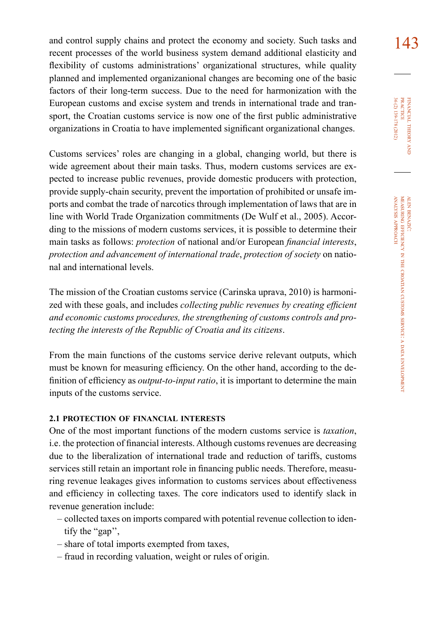and control supply chains and protect the economy and society. Such tasks and  $143$ recent processes of the world business system demand additional elasticity and flexibility of customs administrations' organizational structures, while quality planned and implemented organizanional changes are becoming one of the basic factors of their long-term success. Due to the need for harmonization with the European customs and excise system and trends in international trade and transport, the Croatian customs service is now one of the first public administrative organizations in Croatia to have implemented significant organizational changes.

Customs services' roles are changing in a global, changing world, but there is wide agreement about their main tasks. Thus, modern customs services are expected to increase public revenues, provide domestic producers with protection, provide supply-chain security, prevent the importation of prohibited or unsafe imports and combat the trade of narcotics through implementation of laws that are in line with World Trade Organization commitments (De Wulf et al., 2005). According to the missions of modern customs services, it is possible to determine their main tasks as follows: *protection* of national and/or European *financial interests*, *protection and advancement of international trade*, *protection of society* on national and international levels.

The mission of the Croatian customs service (Carinska uprava, 2010) is harmonized with these goals, and includes *collecting public revenues by creating efficient and economic customs procedures, the strengthening of customs controls and protecting the interests of the Republic of Croatia and its citizens*.

From the main functions of the customs service derive relevant outputs, which must be known for measuring efficiency. On the other hand, according to the definition of efficiency as *output-to-input ratio*, it is important to determine the main inputs of the customs service.

#### **2.1 protection of financial interests**

One of the most important functions of the modern customs service is *taxation*, i.e. the protection of financial interests. Although customs revenues are decreasing due to the liberalization of international trade and reduction of tariffs, customs services still retain an important role in financing public needs. Therefore, measuring revenue leakages gives information to customs services about effectiveness and efficiency in collecting taxes. The core indicators used to identify slack in revenue generation include:

- collected taxes on imports compared with potential revenue collection to identify the "gap'',
- share of total imports exempted from taxes,
- fraud in recording valuation, weight or rules of origin.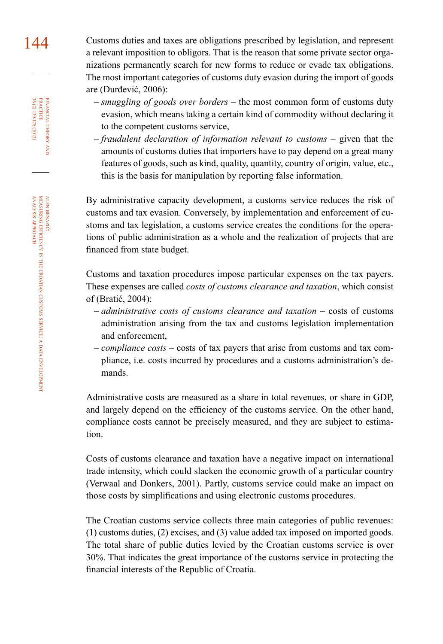144 Customs duties and taxes are obligations prescribed by legislation, and represent a relevant imposition to obligors. That is the reason that some private sector organizations permanently search for new forms to reduce or evade tax obligations. The most important categories of customs duty evasion during the import of goods are (Đurđević, 2006):

- *smuggling of goods over borders* the most common form of customs duty evasion, which means taking a certain kind of commodity without declaring it to the competent customs service,
- *fraudulent declaration of information relevant to customs*  given that the amounts of customs duties that importers have to pay depend on a great many features of goods, such as kind, quality, quantity, country of origin, value, etc., this is the basis for manipulation by reporting false information.

By administrative capacity development, a customs service reduces the risk of customs and tax evasion. Conversely, by implementation and enforcement of customs and tax legislation, a customs service creates the conditions for the operations of public administration as a whole and the realization of projects that are financed from state budget.

Customs and taxation procedures impose particular expenses on the tax payers. These expenses are called *costs of customs clearance and taxation*, which consist of (Bratić, 2004):

- *administrative costs of customs clearance and taxation* costs of customs administration arising from the tax and customs legislation implementation and enforcement,
- *compliance costs* costs of tax payers that arise from customs and tax compliance, i.e. costs incurred by procedures and a customs administration's demands.

Administrative costs are measured as a share in total revenues, or share in GDP, and largely depend on the efficiency of the customs service. On the other hand, compliance costs cannot be precisely measured, and they are subject to estimation.

Costs of customs clearance and taxation have a negative impact on international trade intensity, which could slacken the economic growth of a particular country (Verwaal and Donkers, 2001). Partly, customs service could make an impact on those costs by simplifications and using electronic customs procedures.

The Croatian customs service collects three main categories of public revenues: (1) customs duties, (2) excises, and (3) value added tax imposed on imported goods. The total share of public duties levied by the Croatian customs service is over 30%. That indicates the great importance of the customs service in protecting the financial interests of the Republic of Croatia.

financial

FINANCIAL THEORY<br>PRACTICE 36 (2) 139-178 (2012)

36 (2) 139-178 (2012) PRACTICE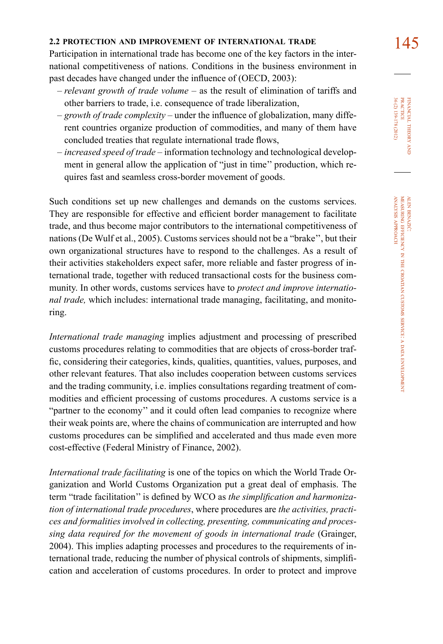#### **2.2 protection and improvement of international trade** 145

Participation in international trade has become one of the key factors in the international competitiveness of nations. Conditions in the business environment in past decades have changed under the influence of (OECD, 2003):

- *relevant growth of trade volume* as the result of elimination of tariffs and other barriers to trade, i.e. consequence of trade liberalization,
- *growth of trade complexity*  under the influence of globalization, many different countries organize production of commodities, and many of them have concluded treaties that regulate international trade flows,
- *increased speed of trade*  information technology and technological development in general allow the application of "just in time'' production, which requires fast and seamless cross-border movement of goods.

Such conditions set up new challenges and demands on the customs services. They are responsible for effective and efficient border management to facilitate trade, and thus become major contributors to the international competitiveness of nations (De Wulf et al., 2005). Customs services should not be a "brake'', but their own organizational structures have to respond to the challenges. As a result of their activities stakeholders expect safer, more reliable and faster progress of international trade, together with reduced transactional costs for the business community. In other words, customs services have to *protect and improve international trade,* which includes: international trade managing, facilitating, and monitoring.

*International trade managing* implies adjustment and processing of prescribed customs procedures relating to commodities that are objects of cross-border traffic, considering their categories, kinds, qualities, quantities, values, purposes, and other relevant features. That also includes cooperation between customs services and the trading community, i.e. implies consultations regarding treatment of commodities and efficient processing of customs procedures. A customs service is a "partner to the economy'' and it could often lead companies to recognize where their weak points are, where the chains of communication are interrupted and how customs procedures can be simplified and accelerated and thus made even more cost-effective (Federal Ministry of Finance, 2002).

*International trade facilitating* is one of the topics on which the World Trade Organization and World Customs Organization put a great deal of emphasis. The term "trade facilitation'' is defined by WCO as *the simplification and harmonization of international trade procedures*, where procedures are *the activities, practices and formalities involved in collecting, presenting, communicating and processing data required for the movement of goods in international trade* (Grainger, 2004). This implies adapting processes and procedures to the requirements of international trade, reducing the number of physical controls of shipments, simplification and acceleration of customs procedures. In order to protect and improve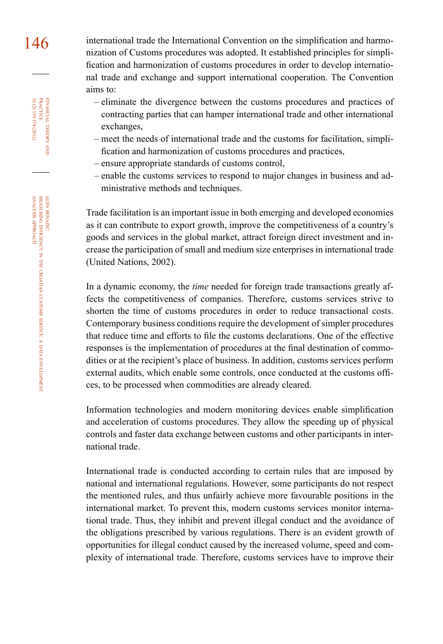146 international trade the International Convention on the simplification and harmonization of Customs procedures was adopted. It established principles for simplification and harmonization of customs procedures in order to develop international trade and exchange and support international cooperation. The Convention aims to:

- *–* eliminate the divergence between the customs procedures and practices of contracting parties that can hamper international trade and other international exchanges,
- *–* meet the needs of international trade and the customs for facilitation, simplification and harmonization of customs procedures and practices,
- *–* ensure appropriate standards of customs control,
- *–* enable the customs services to respond to major changes in business and administrative methods and techniques.

Trade facilitation is an important issue in both emerging and developed economies as it can contribute to export growth, improve the competitiveness of a country's goods and services in the global market, attract foreign direct investment and increase the participation of small and medium size enterprises in international trade (United Nations, 2002).

In a dynamic economy, the *time* needed for foreign trade transactions greatly affects the competitiveness of companies. Therefore, customs services strive to shorten the time of customs procedures in order to reduce transactional costs. Contemporary business conditions require the development of simpler procedures that reduce time and efforts to file the customs declarations. One of the effective responses is the implementation of procedures at the final destination of commodities or at the recipient's place of business. In addition, customs services perform external audits, which enable some controls, once conducted at the customs offices, to be processed when commodities are already cleared.

Information technologies and modern monitoring devices enable simplification and acceleration of customs procedures. They allow the speeding up of physical controls and faster data exchange between customs and other participants in international trade.

International trade is conducted according to certain rules that are imposed by national and international regulations. However, some participants do not respect the mentioned rules, and thus unfairly achieve more favourable positions in the international market. To prevent this, modern customs services monitor international trade. Thus, they inhibit and prevent illegal conduct and the avoidance of the obligations prescribed by various regulations. There is an evident growth of opportunities for illegal conduct caused by the increased volume, speed and complexity of international trade. Therefore, customs services have to improve their

financial

FINANCIAL THEORY<br>PRACTICE 36 (2) 139-178 (2012)

36 (2) 139-178 (2012) PRACTICE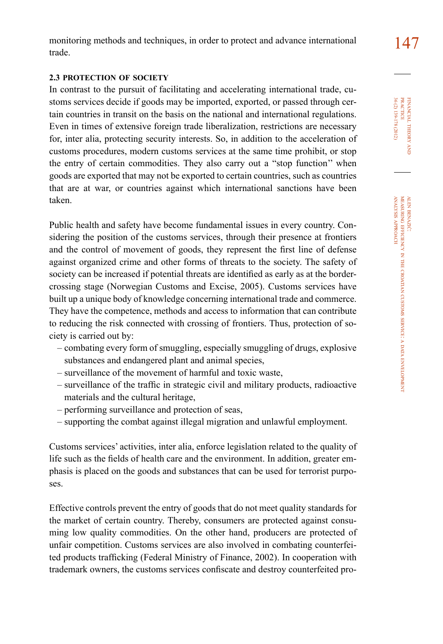#### **2.3 protection of society**

In contrast to the pursuit of facilitating and accelerating international trade, customs services decide if goods may be imported, exported, or passed through certain countries in transit on the basis on the national and international regulations. Even in times of extensive foreign trade liberalization, restrictions are necessary for, inter alia, protecting security interests. So, in addition to the acceleration of customs procedures, modern customs services at the same time prohibit, or stop the entry of certain commodities. They also carry out a "stop function'' when goods are exported that may not be exported to certain countries, such as countries that are at war, or countries against which international sanctions have been taken.

Public health and safety have become fundamental issues in every country. Considering the position of the customs services, through their presence at frontiers and the control of movement of goods, they represent the first line of defense against organized crime and other forms of threats to the society. The safety of society can be increased if potential threats are identified as early as at the bordercrossing stage (Norwegian Customs and Excise, 2005). Customs services have built up a unique body of knowledge concerning international trade and commerce. They have the competence, methods and access to information that can contribute to reducing the risk connected with crossing of frontiers. Thus, protection of society is carried out by:

- *–* combating every form of smuggling, especially smuggling of drugs, explosive substances and endangered plant and animal species,
- *–* surveillance of the movement of harmful and toxic waste,
- *–* surveillance of the traffic in strategic civil and military products, radioactive materials and the cultural heritage,
- *–* performing surveillance and protection of seas,
- *–* supporting the combat against illegal migration and unlawful employment.

Customs services' activities, inter alia, enforce legislation related to the quality of life such as the fields of health care and the environment. In addition, greater emphasis is placed on the goods and substances that can be used for terrorist purposes.

Effective controls prevent the entry of goods that do not meet quality standards for the market of certain country. Thereby, consumers are protected against consuming low quality commodities. On the other hand, producers are protected of unfair competition. Customs services are also involved in combating counterfeited products trafficking (Federal Ministry of Finance, 2002). In cooperation with trademark owners, the customs services confiscate and destroy counterfeited pro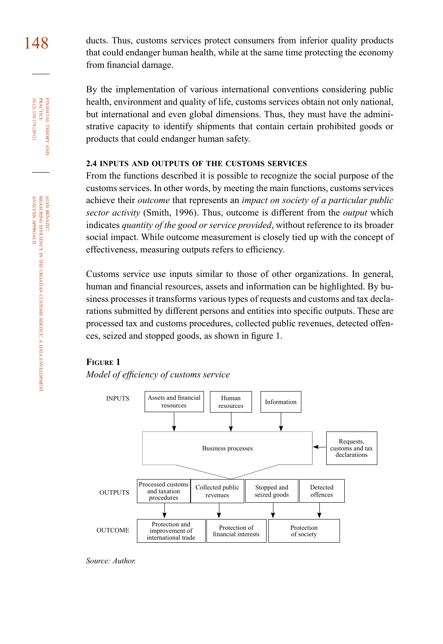148 ducts. Thus, customs services protect consumers from inferior quality products that could endanger human health, while at the same time protecting the economy from financial damage.

> By the implementation of various international conventions considering public health, environment and quality of life, customs services obtain not only national, but international and even global dimensions. Thus, they must have the administrative capacity to identify shipments that contain certain prohibited goods or products that could endanger human safety.

#### **2.4 inputs and outputs of the customs services**

From the functions described it is possible to recognize the social purpose of the customs services. In other words, by meeting the main functions, customs services achieve their *outcome* that represents an *impact on society of a particular public sector activity* (Smith, 1996). Thus, outcome is different from the *output* which indicates *quantity of the good or service provided*, without reference to its broader social impact. While outcome measurement is closely tied up with the concept of effectiveness, measuring outputs refers to efficiency.

Customs service use inputs similar to those of other organizations. In general, human and financial resources, assets and information can be highlighted. By business processes it transforms various types of requests and customs and tax declarations submitted by different persons and entities into specific outputs. These are processed tax and customs procedures, collected public revenues, detected offences, seized and stopped goods, as shown in figure 1.

#### **Figure 1**

*Model of efficiency of customs service*



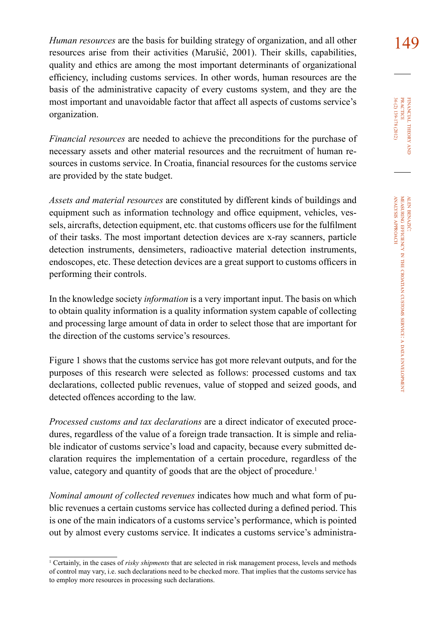Human resources are the basis for building strategy of organization, and all other 149 resources arise from their activities (Marušić, 2001). Their skills, capabilities, quality and ethics are among the most important determinants of organizational efficiency, including customs services. In other words, human resources are the basis of the administrative capacity of every customs system, and they are the most important and unavoidable factor that affect all aspects of customs service's organization.

*Financial resources* are needed to achieve the preconditions for the purchase of necessary assets and other material resources and the recruitment of human resources in customs service. In Croatia, financial resources for the customs service are provided by the state budget.

*Assets and material resources* are constituted by different kinds of buildings and equipment such as information technology and office equipment, vehicles, vessels, aircrafts, detection equipment, etc. that customs officers use for the fulfilment of their tasks. The most important detection devices are x-ray scanners, particle detection instruments, densimeters, radioactive material detection instruments, endoscopes, etc. These detection devices are a great support to customs officers in performing their controls.

In the knowledge society *information* is a very important input. The basis on which to obtain quality information is a quality information system capable of collecting and processing large amount of data in order to select those that are important for the direction of the customs service's resources.

Figure 1 shows that the customs service has got more relevant outputs, and for the purposes of this research were selected as follows: processed customs and tax declarations, collected public revenues, value of stopped and seized goods, and detected offences according to the law.

*Processed customs and tax declarations* are a direct indicator of executed procedures, regardless of the value of a foreign trade transaction. It is simple and reliable indicator of customs service's load and capacity, because every submitted declaration requires the implementation of a certain procedure, regardless of the value, category and quantity of goods that are the object of procedure.

*Nominal amount of collected revenues* indicates how much and what form of public revenues a certain customs service has collected during a defined period. This is one of the main indicators of a customs service's performance, which is pointed out by almost every customs service. It indicates a customs service's administra-

<sup>&</sup>lt;sup>1</sup> Certainly, in the cases of *risky shipments* that are selected in risk management process, levels and methods of control may vary, i.e. such declarations need to be checked more. That implies that the customs service has to employ more resources in processing such declarations.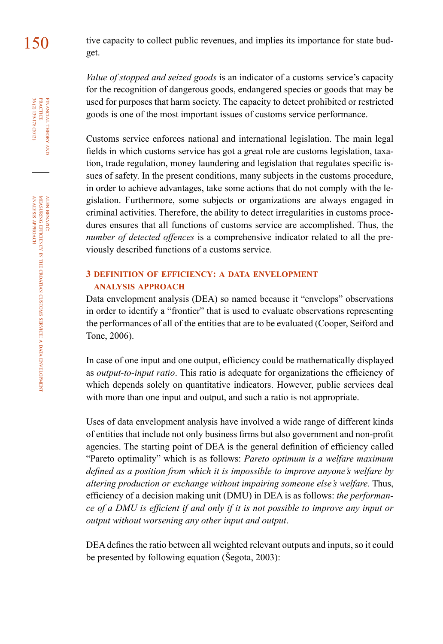150 tive capacity to collect public revenues, and implies its importance for state budget.

> *Value of stopped and seized goods* is an indicator of a customs service's capacity for the recognition of dangerous goods, endangered species or goods that may be used for purposes that harm society. The capacity to detect prohibited or restricted goods is one of the most important issues of customs service performance.

> Customs service enforces national and international legislation. The main legal fields in which customs service has got a great role are customs legislation, taxation, trade regulation, money laundering and legislation that regulates specific issues of safety. In the present conditions, many subjects in the customs procedure, in order to achieve advantages, take some actions that do not comply with the legislation. Furthermore, some subjects or organizations are always engaged in criminal activities. Therefore, the ability to detect irregularities in customs procedures ensures that all functions of customs service are accomplished. Thus, the *number of detected offences* is a comprehensive indicator related to all the previously described functions of a customs service.

#### **3 definition of efficiency: <sup>a</sup> data envelopment analysis approach**

Data envelopment analysis (DEA) so named because it "envelops" observations in order to identify a "frontier" that is used to evaluate observations representing the performances of all of the entities that are to be evaluated (Cooper, Seiford and Tone, 2006).

In case of one input and one output, efficiency could be mathematically displayed as *output-to-input ratio*. This ratio is adequate for organizations the efficiency of which depends solely on quantitative indicators. However, public services deal with more than one input and output, and such a ratio is not appropriate.

Uses of data envelopment analysis have involved a wide range of different kinds of entities that include not only business firms but also government and non-profit agencies. The starting point of DEA is the general definition of efficiency called "Pareto optimality" which is as follows: *Pareto optimum is a welfare maximum defined as a position from which it is impossible to improve anyone's welfare by altering production or exchange without impairing someone else's welfare.* Thus, efficiency of a decision making unit (DMU) in DEA is as follows: *the performance of a DMU is efficient if and only if it is not possible to improve any input or output without worsening any other input and output*.

DEA defines the ratio between all weighted relevant outputs and inputs, so it could be presented by following equation (Šegota, 2003):

financial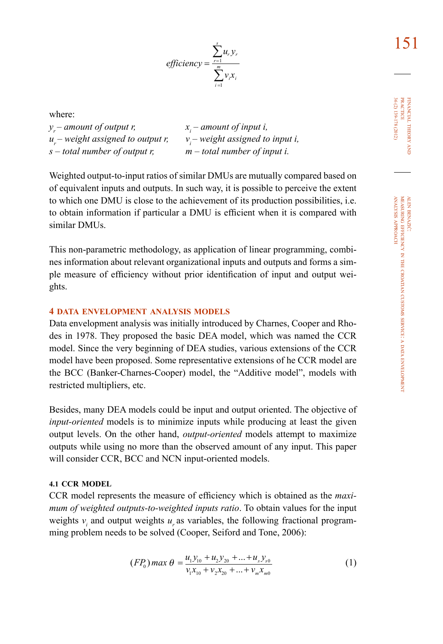financial

theory FINANCIAL THEORY AND<br>PRACTICE<br>BOL 139-178 (2012) 36 (2) 139-178 (2012) practice

$$
efficiency = \frac{\sum_{r=1}^{s} u_r y_r}{\sum_{i=1}^{m} v_i x_i}
$$

where:

*y<sub>r</sub>* – amount of output *r*,  $x_i$  – amount of input *i*,  $u_x$  – weight assigned to input *i*, *u<sub>r</sub>* – *weight assigned to output r,*  $v_i$  – *weight assigned to inpus*  $s$  – *total number of output r,*  $m$  – *total number of input i. s – total number of output r, m – total number of input i.*

 *– amount of input i,*

Weighted output-to-input ratios of similar DMUs are mutually compared based on of equivalent inputs and outputs. In such way, it is possible to perceive the extent to which one DMU is close to the achievement of its production possibilities, i.e. to obtain information if particular a DMU is efficient when it is compared with similar DMUs.

This non-parametric methodology, as application of linear programming, combines information about relevant organizational inputs and outputs and forms a simple measure of efficiency without prior identification of input and output weights.

#### **4 data envelopment analysis models**

Data envelopment analysis was initially introduced by Charnes, Cooper and Rhodes in 1978. They proposed the basic DEA model, which was named the CCR model. Since the very beginning of DEA studies, various extensions of the CCR model have been proposed. Some representative extensions of he CCR model are the BCC (Banker-Charnes-Cooper) model, the "Additive model", models with restricted multipliers, etc.

Besides, many DEA models could be input and output oriented. The objective of *input-oriented* models is to minimize inputs while producing at least the given output levels. On the other hand, *output-oriented* models attempt to maximize outputs while using no more than the observed amount of any input. This paper will consider CCR, BCC and NCN input-oriented models.

#### **4.1 ccr model**

CCR model represents the measure of efficiency which is obtained as the *maximum of weighted outputs-to-weighted inputs ratio*. To obtain values for the input weights  $v_i$  and output weights  $u_i$  as variables, the following fractional programming problem needs to be solved (Cooper, Seiford and Tone, 2006):

$$
(FP0) max \theta = \frac{u_1 y_{10} + u_2 y_{20} + \dots + u_s y_{s0}}{v_1 x_{10} + v_2 x_{20} + \dots + v_m x_{m0}}
$$
 (1)

data

envelopment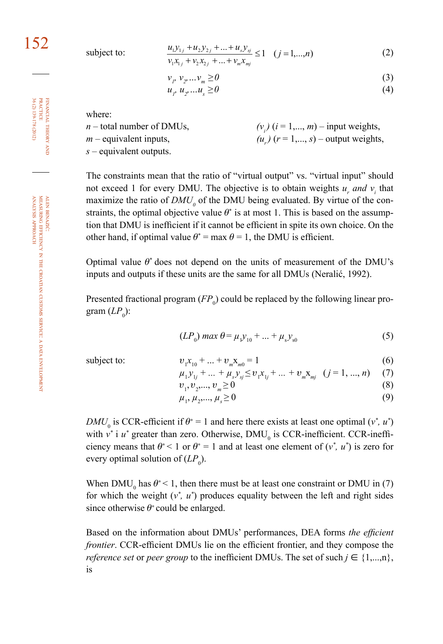subject to: 
$$
\frac{u_1 y_{1j} + u_2 y_{2j} + \dots + u_s y_{sj}}{v_1 x_{1j} + v_2 x_{2j} + \dots + v_m x_{mj}} \le 1 \quad (j = 1, ..., n)
$$
 (2)

$$
v_p, v_2, \ldots v_m \ge 0 \tag{3}
$$

$$
u_p, u_p, \ldots, u_s \ge 0 \tag{4}
$$

where:

| $n$ – total number of DMUs, | $(v_i)$ $(i = 1,, m)$ – input weights,         |
|-----------------------------|------------------------------------------------|
| $m$ – equivalent inputs,    | $(u_r)$ $(r = 1, \ldots, s)$ – output weights, |

*s –* equivalent outputs.

The constraints mean that the ratio of "virtual output" vs. "virtual input" should not exceed 1 for every DMU. The objective is to obtain weights  $u_r$  and  $v_i$  that maximize the ratio of  $DMU<sub>0</sub>$  of the DMU being evaluated. By virtue of the constraints, the optimal objective value  $\theta^*$  is at most 1. This is based on the assumption that DMU is inefficient if it cannot be efficient in spite its own choice. On the other hand, if optimal value  $\theta^* = \max \theta = 1$ , the DMU is efficient.

Optimal value  $\theta^*$  does not depend on the units of measurement of the DMU's inputs and outputs if these units are the same for all DMUs (Neralić, 1992).

Presented fractional program  $(FP_0)$  could be replaced by the following linear pro- $\operatorname{gram}(LP_0)$ :

$$
(LP_0) \max \theta = \mu_1 y_{10} + \dots + \mu_s y_{s0}
$$
 (5)

subject to:

$$
v_1 x_{10} + \dots + v_m x_{m0} = 1 \tag{6}
$$

$$
\mu_1 y_{1j} + \dots + \mu_s y_{sj} \le v_1 x_{1j} + \dots + v_m x_{mj} \quad (j = 1, \dots, n) \tag{7}
$$

$$
v_1, v_2, \dots, v_m \ge 0
$$
  
\n
$$
\mu_1, \mu_2, \dots, \mu_s \ge 0
$$
\n(8)

*DMU*<sub>0</sub> is CCR-efficient if  $\theta^* = 1$  and here there exists at least one optimal  $(v^*, u^*)$ with  $v^*$  i  $u^*$  greater than zero. Otherwise,  $DMU_0$  is CCR-inefficient. CCR-inefficiency means that  $\theta^* < 1$  or  $\theta^* = 1$  and at least one element of  $(v^*, u^*)$  is zero for every optimal solution of  $(LP_0)$ .

When DMU<sub>0</sub> has  $\theta^*$  < 1, then there must be at least one constraint or DMU in (7) for which the weight  $(v^*, u^*)$  produces equality between the left and right sides since otherwise  $\theta^*$  could be enlarged.

Based on the information about DMUs' performances, DEA forms *the efficient frontier*. CCR-efficient DMUs lie on the efficient frontier, and they compose the *reference set* or *peer group* to the inefficient DMUs. The set of such  $j \in \{1,...,n\}$ , is

financial

36 (2) 139-178 (2012) PRACTICE

FINANCIAL THEORY<br>PRACTICE<br>36 (2) 139-178 (2012)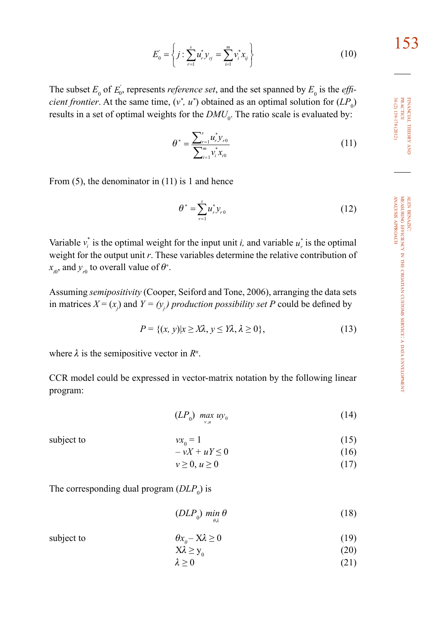$$
E_0 = \left\{ j : \sum_{r=1}^{s} u_r^* y_{rj} = \sum_{i=1}^{m} v_i^* x_{ij} \right\}
$$
 (10)

The subset  $E_0$  of  $E_0$ , represents *reference set*, and the set spanned by  $E_0$  is the *efficient frontier*. At the same time,  $(v^*, u^*)$  obtained as an optimal solution for  $(LP_0)$ results in a set of optimal weights for the  $DMU_0$ . The ratio scale is evaluated by:

$$
\theta^* = \frac{\sum_{r=1}^s u_r^* y_{r0}}{\sum_{i=1}^m v_i^* x_{i0}}
$$
(11)

From  $(5)$ , the denominator in  $(11)$  is 1 and hence

$$
\theta^* = \sum_{r=1}^s u_r^* y_{r0} \tag{12}
$$

Variable  $v_i^*$  is the optimal weight for the input unit *i*, and variable  $u_r^*$  is the optimal weight for the output unit *r*. These variables determine the relative contribution of  $x_{i0}$ , and  $y_{r0}$  to overall value of  $\theta^*$ .

Assuming *semipositivity* (Cooper, Seiford and Tone, 2006), arranging the data sets in matrices  $X = (x_j)$  and  $Y = (y_j)$  *production possibility set P* could be defined by

$$
P = \{(x, y)|x \ge X\lambda, y \le Y\lambda, \lambda \ge 0\},\tag{13}
$$

where  $\lambda$  is the semipositive vector in  $R^n$ .

CCR model could be expressed in vector-matrix notation by the following linear program:

$$
(LP_0) \max_{\nu, u} u \nu_0 \tag{14}
$$

$$
subject to \t\t\t w_0
$$

$$
vx_0 = 1
$$
  
\n
$$
-vX + uY \le 0
$$
\n(15)

$$
v \ge 0, u \ge 0 \tag{17}
$$

The corresponding dual program  $(DLP_0)$  is

 $(DLP_0)$   $\displaystyle \min_{\theta,\lambda}\theta$ (18)

subject to 
$$
\theta x_0 - X\lambda \ge 0
$$
 (19)

$$
X\lambda \geq y_0 \tag{20}
$$

$$
\lambda \geq 0 \tag{21}
$$

financial

36 (2) 139-178 (2012) practice

theory

envelopment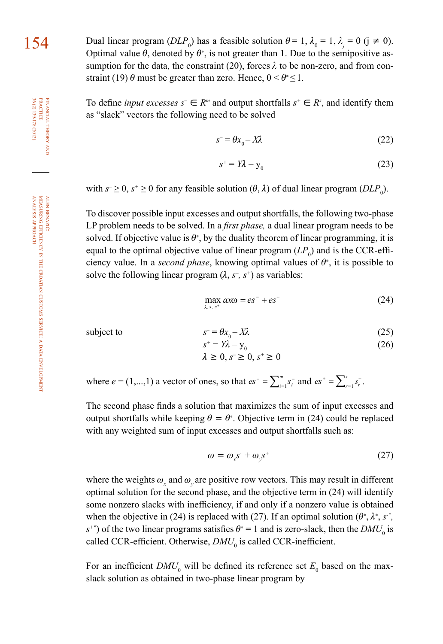service: a

data

envelopment

154 Dual linear program  $(DLP_0)$  has a feasible solution  $\theta = 1$ ,  $\lambda_0 = 1$ ,  $\lambda_j = 0$  (j  $\neq 0$ ). Optimal value  $\theta$ , denoted by  $\theta^*$ , is not greater than 1. Due to the semipositive assumption for the data, the constraint (20), forces  $\lambda$  to be non-zero, and from constraint (19)  $\theta$  must be greater than zero. Hence,  $0 < \theta^* \le 1$ .

> To define *input excesses*  $s^- \in \mathbb{R}^m$  and output shortfalls  $s^+ \in \mathbb{R}^s$ , and identify them as "slack" vectors the following need to be solved

$$
s^- = \theta x_0 - X\lambda \tag{22}
$$

$$
s^+ = Y\lambda - y_0 \tag{23}
$$

with  $s \geq 0$ ,  $s^+ \geq 0$  for any feasible solution  $(\theta, \lambda)$  of dual linear program  $(DLP_0)$ .

To discover possible input excesses and output shortfalls, the following two-phase LP problem needs to be solved. In a *first phase,* a dual linear program needs to be solved. If objective value is  $\theta^*$ , by the duality theorem of linear programming, it is equal to the optimal objective value of linear program  $(LP_0)$  and is the CCR-efficiency value. In a *second phase*, knowing optimal values of  $\theta^*$ , it is possible to solve the following linear program  $(\lambda, s^-, s^+)$  as variables:

$$
\max_{\lambda, s^-; s^+} a x \omega = e s^- + e s^+ \tag{24}
$$

subject to *s–*

$$
=\theta x_0 - X\lambda \tag{25}
$$

$$
s^{+} = Y\lambda - y_0
$$
  
\n
$$
\lambda \ge 0, s^{-} \ge 0, s^{+} \ge 0
$$
\n(26)

where 
$$
e = (1,...,1)
$$
 a vector of ones, so that  $es^- = \sum_{i=1}^m s_i^-$  and  $es^+ = \sum_{r=1}^s s_r^+$ .

The second phase finds a solution that maximizes the sum of input excesses and output shortfalls while keeping  $\theta = \theta^*$ . Objective term in (24) could be replaced with any weighted sum of input excesses and output shortfalls such as:

$$
\omega = \omega_x s^{\scriptscriptstyle +} + \omega_y s^{\scriptscriptstyle +} \tag{27}
$$

where the weights  $\omega_x$  and  $\omega_y$  are positive row vectors. This may result in different optimal solution for the second phase, and the objective term in (24) will identify some nonzero slacks with inefficiency, if and only if a nonzero value is obtained when the objective in (24) is replaced with (27). If an optimal solution  $(\theta^*, \lambda^*, s^*, \lambda^*)$  $s^{+*}$ ) of the two linear programs satisfies  $\theta^* = 1$  and is zero-slack, then the *DMU*<sub>0</sub> is called CCR-efficient. Otherwise,  $DMU_0$  is called CCR-inefficient.

For an inefficient  $DMU_0$  will be defined its reference set  $E_0$  based on the maxslack solution as obtained in two-phase linear program by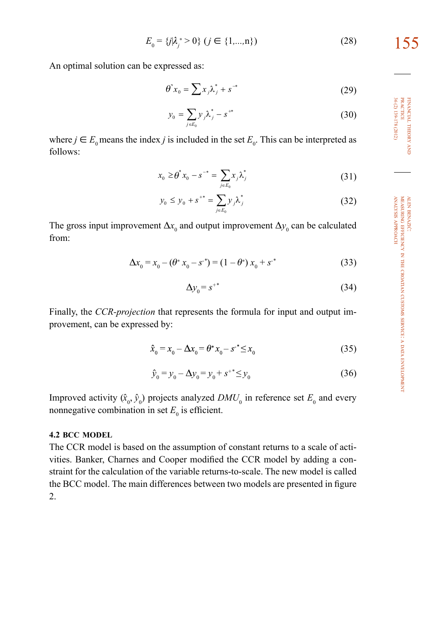$$
E_0 = \{j|\lambda_j^* > 0\} \ (j \in \{1, \dots, n\}) \tag{28}
$$

An optimal solution can be expressed as:

$$
\theta^* x_0 = \sum x_j \lambda_j^* + s^{-*}
$$
 (29)

$$
y_0 = \sum_{j \in E_0} y_j \lambda_j^* - s^{**} \tag{30}
$$

where  $j \in E_0$  means the index *j* is included in the set  $E_0$ . This can be interpreted as follows:

$$
x_0 \geq \theta^* x_0 - s^{-*} = \sum_{j \in E_0} x_j \lambda_j^* \tag{31}
$$

$$
y_0 \le y_0 + s^{**} = \sum_{j \in E_0} y_j \lambda_j^* \tag{32}
$$

The gross input improvement  $\Delta x_0$  and output improvement  $\Delta y_0$  can be calculated from:

$$
\Delta x_0 = x_0 - (\theta^* x_0 - s^{-*}) = (1 - \theta^*) x_0 + s^{-*}
$$
\n(33)

$$
\Delta y_0 = s^{**} \tag{34}
$$

Finally, the *CCR-projection* that represents the formula for input and output improvement, can be expressed by:

$$
\hat{x}_0 = x_0 - \Delta x_0 = \theta^* x_0 - s^{-*} \le x_0 \tag{35}
$$

$$
\hat{y}_0 = y_0 - \Delta y_0 = y_0 + s^{+*} \le y_0 \tag{36}
$$

Improved activity  $(\hat{x}_0, \hat{y}_0)$  projects analyzed  $DMU_0$  in reference set  $E_0$  and every nonnegative combination in set  $E_0$  is efficient.

#### **4.2 bcc model**

The CCR model is based on the assumption of constant returns to a scale of activities. Banker, Charnes and Cooper modified the CCR model by adding a constraint for the calculation of the variable returns-to-scale. The new model is called the BCC model. The main differences between two models are presented in figure 2.

financial

36 (2) 139-178 (2012) practice

theory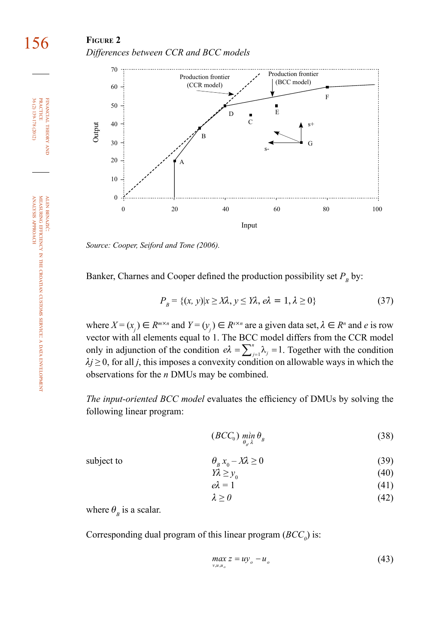#### 156 **Figure 2** *Differences between CCR and BCC models*



*Source: Cooper, Seiford and Tone (2006).*

Banker, Charnes and Cooper defined the production possibility set  $P<sub>B</sub>$  by:

$$
P_B = \{(x, y)|x \ge X\lambda, y \le Y\lambda, e\lambda = 1, \lambda \ge 0\}
$$
\n(37)

where  $X = (x_j) \in R^{m \times n}$  and  $Y = (y_j) \in R^{s \times n}$  are a given data set,  $\lambda \in R^n$  and *e* is row vector with all elements equal to 1. The BCC model differs from the CCR model only in adjunction of the condition  $e\lambda = \sum_{j=1}^{n} \lambda_j = 1$ . Together with the condition  $\lambda j \geq 0$ , for all *j*, this imposes a convexity condition on allowable ways in which the observations for the *n* DMUs may be combined.

*The input-oriented BCC model* evaluates the efficiency of DMUs by solving the following linear program:

 $(BCC_0)$   $\min_{\theta_B} \theta_B$  (38)

subject to  $\theta_B x_0 - \theta_B x_0 - \theta_B x_0$ 

 $\theta_{B} x_{0} - X\lambda \ge 0$  (39)

$$
Y\lambda \geq y_0 \tag{40}
$$

$$
e\lambda = 1 \tag{41}
$$
\n
$$
\lambda \ge 0 \tag{42}
$$

where  $\theta_{R}$  is a scalar.

Corresponding dual program of this linear program  $(BCC<sub>0</sub>)$  is:

$$
\max_{\mathbf{v}, u, u_o} z = u \mathbf{v}_o - u_o \tag{43}
$$

financial

FINANCIAL THEORY<br>PRACTICE 36 (2) 139-178 (2012)

36 (2) 139-178 (2012) PRACTICE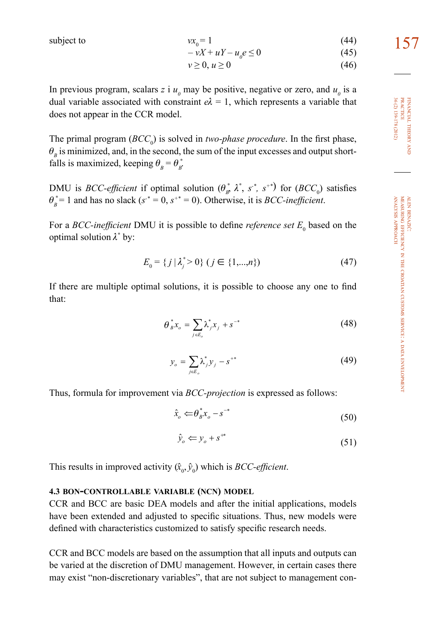subject to 
$$
vx_0 = 1
$$
 (44) 157

$$
-vX + uY - u0e \le 0 \tag{45}
$$

$$
v \ge 0, u \ge 0 \tag{46}
$$

In previous program, scalars  $z$  i  $u_0$  may be positive, negative or zero, and  $u_0$  is a dual variable associated with constraint  $e\lambda = 1$ , which represents a variable that does not appear in the CCR model.

The primal program (*BCC*<sub>0</sub>) is solved in *two-phase procedure*. In the first phase,  $\theta$ <sub>e</sub> is minimized, and, in the second, the sum of the input excesses and output shortfalls is maximized, keeping  $\theta_B = \theta_B^*$ .

DMU is *BCC-efficient* if optimal solution  $(\theta_p^*, \lambda^*, s^*, s^{**})$  for  $(BCC_0)$  satisfies  $\theta_{B}^{*} = 1$  and has no slack ( $s^{*} = 0$ ,  $s^{*} = 0$ ). Otherwise, it is *BCC-inefficient*.

For a *BCC-inefficient* DMU it is possible to define *reference set*  $E_0$  based on the optimal solution  $\lambda^*$  by:

$$
E_0 = \{ j \mid \lambda_j^* > 0 \} \ (j \in \{1, \dots, n\}) \tag{47}
$$

If there are multiple optimal solutions, it is possible to choose any one to find that:

$$
\theta_{B}^{*} x_{o} = \sum_{j \in E_{o}} \lambda_{j}^{*} x_{j} + s^{-*}
$$
\n(48)

$$
y_o = \sum_{j \in E_o} \lambda_j^* y_j - s^{**} \tag{49}
$$

Thus, formula for improvement via *BCC-projection* is expressed as follows:

$$
\hat{x}_o \Longleftarrow \theta_b^* x_o - s^{-*} \tag{50}
$$

$$
\hat{y}_o \Leftarrow y_o + s^{**} \tag{51}
$$

This results in improved activity  $(\hat{x}_0, \hat{y}_0)$  which is *BCC-efficient*.

#### **4.3 bon-controllable variable (ncn) model**

CCR and BCC are basic DEA models and after the initial applications, models have been extended and adjusted to specific situations. Thus, new models were defined with characteristics customized to satisfy specific research needs.

CCR and BCC models are based on the assumption that all inputs and outputs can be varied at the discretion of DMU management. However, in certain cases there may exist "non-discretionary variables", that are not subject to management con-

financial

36 (2) 139-178 (2012) practice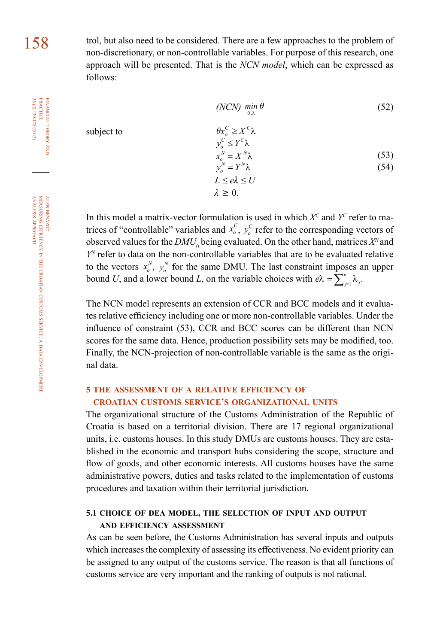158 trol, but also need to be considered. There are a few approaches to the problem of non-discretionary, or non-controllable variables. For purpose of this research, one approach will be presented. That is the *NCN model*, which can be expressed as follows:

$$
(NCN)\,\min_{\theta,\lambda}\theta\tag{52}
$$

subject to  $\theta x_o^C \geq X^C \lambda$ 

$$
y_o^C \le Y^C \lambda
$$
  
\n
$$
x_o^N = X^N \lambda
$$
  
\n
$$
y_o^N = Y^N \lambda
$$
  
\n
$$
L \le e\lambda \le U
$$
  
\n(54)

In this model a matrix-vector formulation is used in which  $X^C$  and  $Y^C$  refer to matrices of "controllable" variables and  $x_o^c$ ,  $y_o^c$  refer to the corresponding vectors of observed values for the  $DMU_0$  being evaluated. On the other hand, matrices  $X^N$  and *YN* refer to data on the non-controllable variables that are to be evaluated relative to the vectors  $x_o^N$ ,  $y_o^N$  for the same DMU. The last constraint imposes an upper bound *U*, and a lower bound *L*, on the variable choices with  $e\lambda = \sum_{j=1}^{n} \lambda_j$ .

 $\lambda \geq 0$ .

The NCN model represents an extension of CCR and BCC models and it evaluates relative efficiency including one or more non-controllable variables. Under the influence of constraint (53), CCR and BCC scores can be different than NCN scores for the same data. Hence, production possibility sets may be modified, too. Finally, the NCN-projection of non-controllable variable is the same as the original data.

#### **5 the assessment of a relative efficiency of croatian customs service's organizational units**

The organizational structure of the Customs Administration of the Republic of Croatia is based on a territorial division. There are 17 regional organizational units, i.e. customs houses. In this study DMUs are customs houses. They are established in the economic and transport hubs considering the scope, structure and flow of goods, and other economic interests. All customs houses have the same administrative powers, duties and tasks related to the implementation of customs procedures and taxation within their territorial jurisdiction.

#### **5.1 choice of dea model, the selection of input and output and efficiency assessment**

As can be seen before, the Customs Administration has several inputs and outputs which increases the complexity of assessing its effectiveness. No evident priority can be assigned to any output of the customs service. The reason is that all functions of customs service are very important and the ranking of outputs is not rational.

financial

FINANCIAL THEORY<br>PRACTICE 36 (2) 139-178 (2012)

36 (2) 139-178 (2012) PRACTICE

theory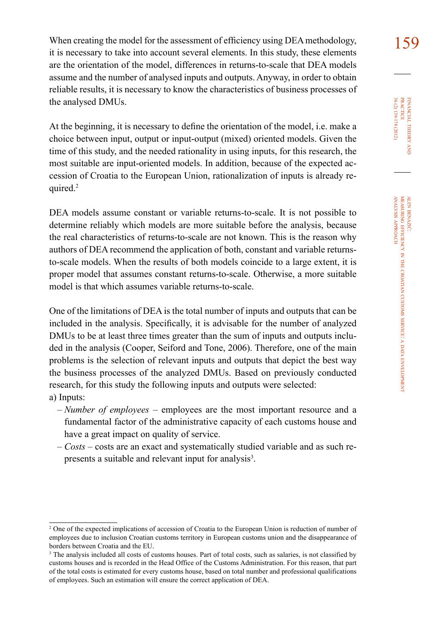When creating the model for the assessment of efficiency using DEA methodology, 159 it is necessary to take into account several elements. In this study, these elements are the orientation of the model, differences in returns-to-scale that DEA models assume and the number of analysed inputs and outputs. Anyway, in order to obtain reliable results, it is necessary to know the characteristics of business processes of the analysed DMUs.

At the beginning, it is necessary to define the orientation of the model, i.e. make a choice between input, output or input-output (mixed) oriented models. Given the time of this study, and the needed rationality in using inputs, for this research, the most suitable are input-oriented models. In addition, because of the expected accession of Croatia to the European Union, rationalization of inputs is already required.

DEA models assume constant or variable returns-to-scale. It is not possible to determine reliably which models are more suitable before the analysis, because the real characteristics of returns-to-scale are not known. This is the reason why authors of DEA recommend the application of both, constant and variable returnsto-scale models. When the results of both models coincide to a large extent, it is proper model that assumes constant returns-to-scale. Otherwise, a more suitable model is that which assumes variable returns-to-scale.

One of the limitations of DEA is the total number of inputs and outputs that can be included in the analysis. Specifically, it is advisable for the number of analyzed DMUs to be at least three times greater than the sum of inputs and outputs included in the analysis (Cooper, Seiford and Tone, 2006). Therefore, one of the main problems is the selection of relevant inputs and outputs that depict the best way the business processes of the analyzed DMUs. Based on previously conducted research, for this study the following inputs and outputs were selected: a) Inputs:

- *Number of employees –* employees are the most important resource and a fundamental factor of the administrative capacity of each customs house and have a great impact on quality of service.
- *Costs –* costs are an exact and systematically studied variable and as such represents a suitable and relevant input for analysis<sup>3</sup>.

<sup>&</sup>lt;sup>2</sup> One of the expected implications of accession of Croatia to the European Union is reduction of number of employees due to inclusion Croatian customs territory in European customs union and the disappearance of borders between Croatia and the EU.

<sup>&</sup>lt;sup>3</sup> The analysis included all costs of customs houses. Part of total costs, such as salaries, is not classified by customs houses and is recorded in the Head Office of the Customs Administration. For this reason, that part of the total costs is estimated for every customs house, based on total number and professional qualifications of employees. Such an estimation will ensure the correct application of DEA.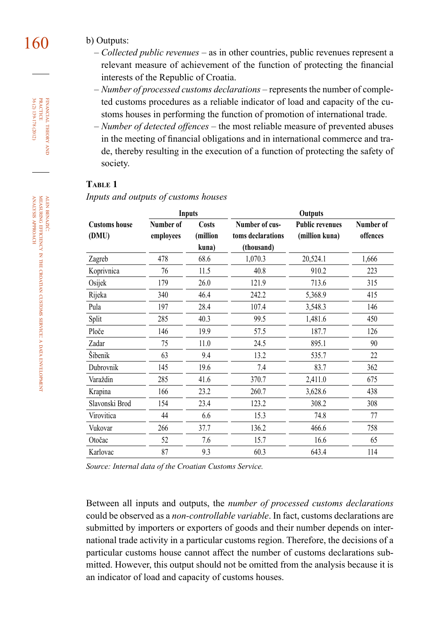- $160$  b) Outputs:
	- *Collected public revenues –* as in other countries, public revenues represent a relevant measure of achievement of the function of protecting the financial interests of the Republic of Croatia.
	- *Number of processed customs declarations –* represents the number of completed customs procedures as a reliable indicator of load and capacity of the customs houses in performing the function of promotion of international trade.
	- *Number of detected offences –* the most reliable measure of prevented abuses in the meeting of financial obligations and in international commerce and trade, thereby resulting in the execution of a function of protecting the safety of society.

#### **Table 1**

#### *Inputs and outputs of customs houses*

|                      |           | Inputs   |                   | Outputs                |           |
|----------------------|-----------|----------|-------------------|------------------------|-----------|
| <b>Customs house</b> | Number of | Costs    | Number of cus-    | <b>Public revenues</b> | Number of |
| (DMU)                | employees | (million | toms declarations | (million kuna)         | offences  |
|                      |           | kuna)    | (thousand)        |                        |           |
| Zagreb               | 478       | 68.6     | 1,070.3           | 20,524.1               | 1,666     |
| Koprivnica           | 76        | 11.5     | 40.8              | 910.2                  | 223       |
| Osijek               | 179       | 26.0     | 121.9             | 713.6                  | 315       |
| Rijeka               | 340       | 46.4     | 242.2             | 5,368.9                | 415       |
| Pula                 | 197       | 28.4     | 107.4             | 3,548.3                | 146       |
| Split                | 285       | 40.3     | 99.5              | 1,481.6                | 450       |
| Ploče                | 146       | 19.9     | 57.5              | 187.7                  | 126       |
| Zadar                | 75        | 11.0     | 24.5              | 895.1                  | 90        |
| Šibenik              | 63        | 9.4      | 13.2              | 535.7                  | 22        |
| Dubrovnik            | 145       | 19.6     | 7.4               | 83.7                   | 362       |
| Varaždin             | 285       | 41.6     | 370.7             | 2,411.0                | 675       |
| Krapina              | 166       | 23.2     | 260.7             | 3,628.6                | 438       |
| Slavonski Brod       | 154       | 23.4     | 123.2             | 308.2                  | 308       |
| Virovitica           | 44        | 6.6      | 15.3              | 74.8                   | 77        |
| Vukovar              | 266       | 37.7     | 136.2             | 466.6                  | 758       |
| Otočac               | 52        | 7.6      | 15.7              | 16.6                   | 65        |
| Karlovac             | 87        | 9.3      | 60.3              | 643.4                  | 114       |

*Source: Internal data of the Croatian Customs Service.*

Between all inputs and outputs, the *number of processed customs declarations* could be observed as a *non-controllable variable*. In fact, customs declarations are submitted by importers or exporters of goods and their number depends on international trade activity in a particular customs region. Therefore, the decisions of a particular customs house cannot affect the number of customs declarations submitted. However, this output should not be omitted from the analysis because it is an indicator of load and capacity of customs houses.

36 (2) 139-178 (2012) FINANCIAL THEORY<br>PRACTICE 36 (2) 139-178 (2012) PRACTICE financial theory and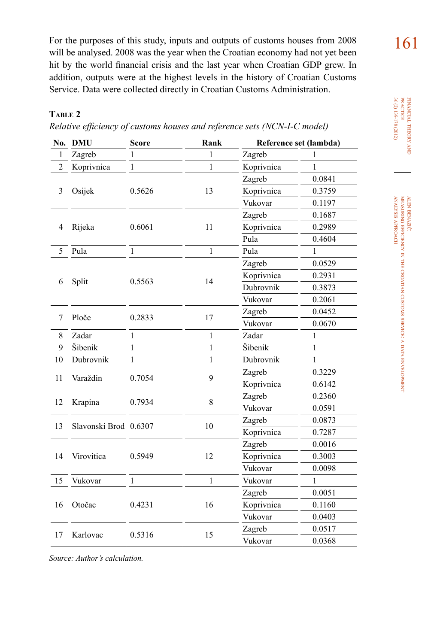For the purposes of this study, inputs and outputs of customs houses from  $2008$   $161$ will be analysed. 2008 was the year when the Croatian economy had not yet been hit by the world financial crisis and the last year when Croatian GDP grew. In addition, outputs were at the highest levels in the history of Croatian Customs Service. Data were collected directly in Croatian Customs Administration.

#### **Table 2**

| Relative efficiency of customs houses and reference sets (NCN-I-C model) |  |  |  |
|--------------------------------------------------------------------------|--|--|--|
|--------------------------------------------------------------------------|--|--|--|

| No.            | <b>DMU</b>            | <b>Score</b> | Rank         | Reference set (lambda) |              |
|----------------|-----------------------|--------------|--------------|------------------------|--------------|
| 1              | Zagreb                | 1            | 1            | Zagreb                 | 1            |
| $\overline{c}$ | Koprivnica            | $\mathbf{1}$ | 1            | Koprivnica             | 1            |
|                |                       |              |              | Zagreb                 | 0.0841       |
| 3              | Osijek                | 0.5626       | 13           | Koprivnica             | 0.3759       |
|                |                       |              |              | Vukovar                | 0.1197       |
|                |                       |              |              | Zagreb                 | 0.1687       |
| 4              | Rijeka                | 0.6061       | 11           | Koprivnica             | 0.2989       |
|                |                       |              |              | Pula                   | 0.4604       |
| 5              | Pula                  | $\mathbf{1}$ | $\mathbf{1}$ | Pula                   | 1            |
|                |                       |              |              | Zagreb                 | 0.0529       |
| 6              |                       | 0.5563       | 14           | Koprivnica             | 0.2931       |
|                | Split                 |              |              | Dubrovnik              | 0.3873       |
|                |                       |              |              | Vukovar                | 0.2061       |
| 7              | Ploče                 | 0.2833       | 17           | Zagreb                 | 0.0452       |
|                |                       |              |              | Vukovar                | 0.0670       |
| 8              | Zadar                 | $\mathbf{1}$ | $\mathbf{1}$ | Zadar                  | $\mathbf{1}$ |
| 9              | Šibenik               | $\mathbf{1}$ | $\mathbf{1}$ | Šibenik                | $\mathbf{1}$ |
| 10             | Dubrovnik             | $\mathbf{1}$ | $\mathbf{1}$ | Dubrovnik              | $\mathbf{1}$ |
| 11             | Varaždin              | 0.7054       | 9            | Zagreb                 | 0.3229       |
|                |                       |              |              | Koprivnica             | 0.6142       |
| 12             | Krapina               | 0.7934       | 8            | Zagreb                 | 0.2360       |
|                |                       |              |              | Vukovar                | 0.0591       |
| 13             | Slavonski Brod 0.6307 |              | 10           | Zagreb                 | 0.0873       |
|                |                       |              |              | Koprivnica             | 0.7287       |
|                |                       |              |              | Zagreb                 | 0.0016       |
| 14             | Virovitica            | 0.5949       | 12           | Koprivnica             | 0.3003       |
|                |                       |              |              | Vukovar                | 0.0098       |
| 15             | Vukovar               | $\mathbf{1}$ | $\mathbf{1}$ | Vukovar                | $\mathbf{1}$ |
|                |                       |              |              | Zagreb                 | 0.0051       |
| 16             | Otočac                | 0.4231       | 16           | Koprivnica             | 0.1160       |
|                |                       |              |              | Vukovar                | 0.0403       |
| 17             | Karlovac              | 0.5316       | 15           | Zagreb                 | 0.0517       |
|                |                       |              | Vukovar      | 0.0368                 |              |

*Source: Author's calculation.*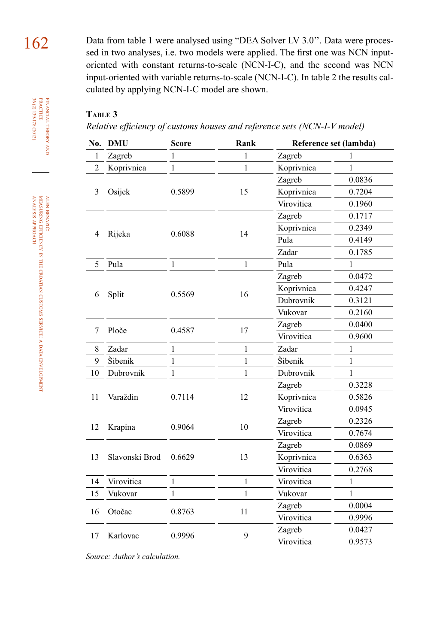162 Data from table 1 were analysed using "DEA Solver LV 3.0". Data were processed in two analyses, i.e. two models were applied. The first one was NCN inputoriented with constant returns-to-scale (NCN-I-C), and the second was NCN input-oriented with variable returns-to-scale (NCN-I-C). In table 2 the results calculated by applying NCN-I-C model are shown.

#### **Table 3**

*Relative efficiency of customs houses and reference sets (NCN-I-V model)*

| No.            | <b>DMU</b>     | <b>Score</b> | Rank         | Reference set (lambda) |              |
|----------------|----------------|--------------|--------------|------------------------|--------------|
| $\mathbf{1}$   | Zagreb         | 1            | 1            | Zagreb                 | 1            |
| $\overline{c}$ | Koprivnica     | $\mathbf{1}$ | 1            | Koprivnica             | $\mathbf{1}$ |
|                |                |              |              | Zagreb                 | 0.0836       |
| 3              | Osijek         | 0.5899       | 15           | Koprivnica             | 0.7204       |
|                |                |              |              | Virovitica             | 0.1960       |
|                |                |              |              | Zagreb                 | 0.1717       |
| 4              |                | 0.6088       | 14           | Koprivnica             | 0.2349       |
|                | Rijeka         |              |              | Pula                   | 0.4149       |
|                |                |              |              | Zadar                  | 0.1785       |
| 5              | Pula           | $\mathbf{1}$ | 1            | Pula                   | 1            |
|                |                |              |              | Zagreb                 | 0.0472       |
| 6              |                | 0.5569       | 16           | Koprivnica             | 0.4247       |
|                | Split          |              |              | Dubrovnik              | 0.3121       |
|                |                |              |              | Vukovar                | 0.2160       |
| 7              | Ploče          | 0.4587       | 17           | Zagreb                 | 0.0400       |
|                |                |              |              | Virovitica             | 0.9600       |
| 8              | Zadar          | 1            | $\mathbf{1}$ | Zadar                  | $\mathbf{1}$ |
| 9              | Šibenik        | $\mathbf{1}$ | $\mathbf{1}$ | Šibenik                | $\mathbf{1}$ |
| 10             | Dubrovnik      | 1            | 1            | Dubrovnik              | $\mathbf{1}$ |
|                |                |              |              | Zagreb                 | 0.3228       |
| 11             | Varaždin       | 0.7114       | 12           | Koprivnica             | 0.5826       |
|                |                |              |              | Virovitica             | 0.0945       |
| 12             | Krapina        | 0.9064       | 10           | Zagreb                 | 0.2326       |
|                |                |              |              | Virovitica             | 0.7674       |
|                |                |              |              | Zagreb                 | 0.0869       |
| 13             | Slavonski Brod | 0.6629       | 13           | Koprivnica             | 0.6363       |
|                |                |              |              | Virovitica             | 0.2768       |
| 14             | Virovitica     | $\mathbf{1}$ | $\mathbf{1}$ | Virovitica             | $\mathbf{1}$ |
| 15             | Vukovar        | 1            | 1            | Vukovar                | 1            |
| 16             | Otočac         | 0.8763       | 11           | Zagreb                 | 0.0004       |
|                |                |              |              | Virovitica             | 0.9996       |
| 17             | Karlovac       | 0.9996       | 9            | Zagreb                 | 0.0427       |
|                |                |              |              | Virovitica             | 0.9573       |

*Source: Author's calculation.*

alen benazić: measuring efficiency in the croatian customs service: a data envelopment analysis approach

financial

theory EINANCIAL THEORY AND<br>PRACTICE<br>BOL 139-178 (2012) 36 (2) 139-178 (2012) PRACTICE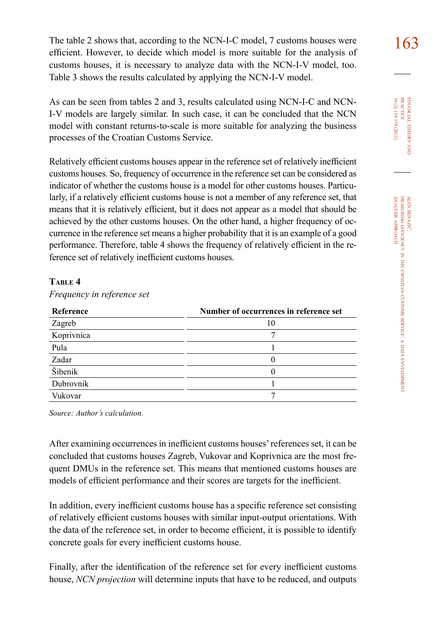The table 2 shows that, according to the NCN-I-C model, 7 customs houses were  $\frac{163}{163}$ efficient. However, to decide which model is more suitable for the analysis of customs houses, it is necessary to analyze data with the NCN-I-V model, too. Table 3 shows the results calculated by applying the NCN-I-V model.

As can be seen from tables 2 and 3, results calculated using NCN-I-C and NCN-I-V models are largely similar. In such case, it can be concluded that the NCN model with constant returns-to-scale is more suitable for analyzing the business processes of the Croatian Customs Service.

Relatively efficient customs houses appear in the reference set of relatively inefficient customs houses. So, frequency of occurrence in the reference set can be considered as indicator of whether the customs house is a model for other customs houses. Particularly, if a relatively efficient customs house is not a member of any reference set, that means that it is relatively efficient, but it does not appear as a model that should be achieved by the other customs houses. On the other hand, a higher frequency of occurrence in the reference set means a higher probability that it is an example of a good performance. Therefore, table 4 shows the frequency of relatively efficient in the reference set of relatively inefficient customs houses.

#### **Table 4**

*Frequency in reference set*

| Reference  | Number of occurrences in reference set |
|------------|----------------------------------------|
| Zagreb     | 10                                     |
| Koprivnica |                                        |
| Pula       |                                        |
| Zadar      | 0                                      |
| Šibenik    | $\mathbf{0}$                           |
| Dubrovnik  |                                        |
| Vukovar    |                                        |

*Source: Author's calculation.*

After examining occurrences in inefficient customs houses' references set, it can be concluded that customs houses Zagreb, Vukovar and Koprivnica are the most frequent DMUs in the reference set. This means that mentioned customs houses are models of efficient performance and their scores are targets for the inefficient.

In addition, every inefficient customs house has a specific reference set consisting of relatively efficient customs houses with similar input-output orientations. With the data of the reference set, in order to become efficient, it is possible to identify concrete goals for every inefficient customs house.

Finally, after the identification of the reference set for every inefficient customs house, *NCN projection* will determine inputs that have to be reduced, and outputs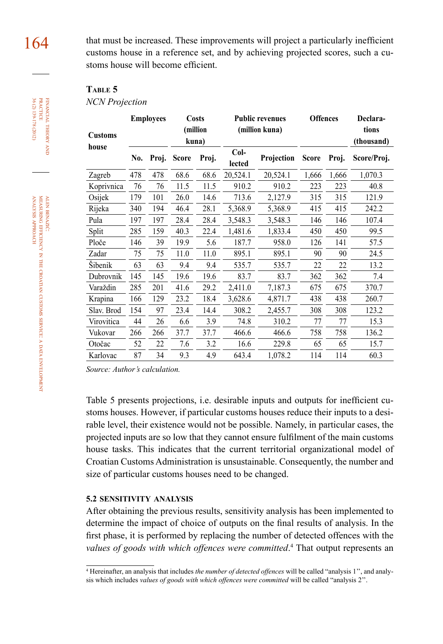164 that must be increased. These improvements will project a particularly inefficient customs house in a reference set, and by achieving projected scores, such a customs house will become efficient.

#### **Table 5**

*NCN Projection*

| <b>Customs</b> |     | <b>Employees</b> |              | Costs<br>(million<br>kuna) |                  | <b>Public revenues</b><br>(million kuna) |              | <b>Offences</b> |                           |
|----------------|-----|------------------|--------------|----------------------------|------------------|------------------------------------------|--------------|-----------------|---------------------------|
| house          | No. | Proj.            | <b>Score</b> | Proj.                      | $Col-$<br>lected | Projection                               | <b>Score</b> | Proj.           | (thousand)<br>Score/Proj. |
| Zagreb         | 478 | 478              | 68.6         | 68.6                       | 20,524.1         | 20,524.1                                 | 1,666        | 1,666           | 1,070.3                   |
| Koprivnica     | 76  | 76               | 11.5         | 11.5                       | 910.2            | 910.2                                    | 223          | 223             | 40.8                      |
| Osijek         | 179 | 101              | 26.0         | 14.6                       | 713.6            | 2,127.9                                  | 315          | 315             | 121.9                     |
| Rijeka         | 340 | 194              | 46.4         | 28.1                       | 5,368.9          | 5,368.9                                  | 415          | 415             | 242.2                     |
| Pula           | 197 | 197              | 28.4         | 28.4                       | 3.548.3          | 3,548.3                                  | 146          | 146             | 107.4                     |
| Split          | 285 | 159              | 40.3         | 22.4                       | 1,481.6          | 1,833.4                                  | 450          | 450             | 99.5                      |
| Ploče          | 146 | 39               | 19.9         | 5.6                        | 187.7            | 958.0                                    | 126          | 141             | 57.5                      |
| Zadar          | 75  | 75               | 11.0         | 11.0                       | 895.1            | 895.1                                    | 90           | 90              | 24.5                      |
| Šibenik        | 63  | 63               | 9.4          | 9.4                        | 535.7            | 535.7                                    | 22           | 22              | 13.2                      |
| Dubrovnik      | 145 | 145              | 19.6         | 19.6                       | 83.7             | 83.7                                     | 362          | 362             | 7.4                       |
| Varaždin       | 285 | 201              | 41.6         | 29.2                       | 2,411.0          | 7,187.3                                  | 675          | 675             | 370.7                     |
| Krapina        | 166 | 129              | 23.2         | 18.4                       | 3,628.6          | 4,871.7                                  | 438          | 438             | 260.7                     |
| Slav. Brod     | 154 | 97               | 23.4         | 14.4                       | 308.2            | 2,455.7                                  | 308          | 308             | 123.2                     |
| Virovitica     | 44  | 26               | 6.6          | 3.9                        | 74.8             | 310.2                                    | 77           | 77              | 15.3                      |
| Vukovar        | 266 | 266              | 37.7         | 37.7                       | 466.6            | 466.6                                    | 758          | 758             | 136.2                     |
| Otočac         | 52  | 22               | 7.6          | 3.2                        | 16.6             | 229.8                                    | 65           | 65              | 15.7                      |
| Karlovac       | 87  | 34               | 9.3          | 4.9                        | 643.4            | 1,078.2                                  | 114          | 114             | 60.3                      |

*Source: Author's calculation.*

Table 5 presents projections, i.e. desirable inputs and outputs for inefficient customs houses. However, if particular customs houses reduce their inputs to a desirable level, their existence would not be possible. Namely, in particular cases, the projected inputs are so low that they cannot ensure fulfilment of the main customs house tasks. This indicates that the current territorial organizational model of Croatian Customs Administration is unsustainable. Consequently, the number and size of particular customs houses need to be changed.

#### **5.2 sensitivity analysis**

After obtaining the previous results, sensitivity analysis has been implemented to determine the impact of choice of outputs on the final results of analysis. In the first phase, it is performed by replacing the number of detected offences with the *values of goods with which offences were committed*. That output represents an

financial

36 (2) 139-178 (2012) PRACTICE

36 (2) 139-178 (2012)

theory

data

envelopment

Hereinafter, an analysis that includes *the number of detected offences* will be called "analysis 1'', and analysis which includes *values of goods with which offences were committed* will be called "analysis 2''.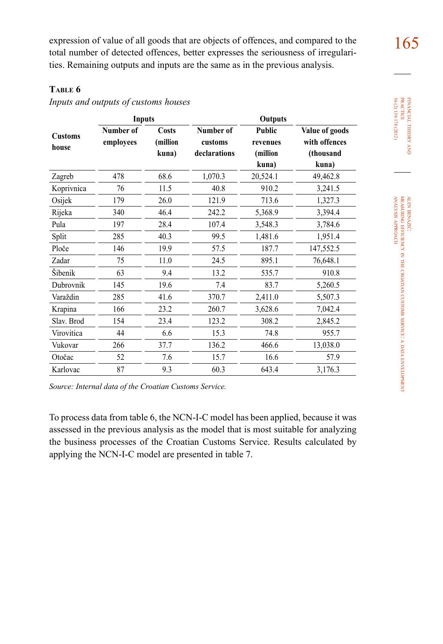expression of value of all goods that are objects of offences, and compared to the  $165$ total number of detected offences, better expresses the seriousness of irregularities. Remaining outputs and inputs are the same as in the previous analysis.

#### **Table 6**

*Inputs and outputs of customs houses*

|                         | <b>Inputs</b>          |                                   |                                      | Outputs                               |                                              |
|-------------------------|------------------------|-----------------------------------|--------------------------------------|---------------------------------------|----------------------------------------------|
| <b>Customs</b><br>house | Number of<br>employees | <b>Costs</b><br>(million<br>kuna) | Number of<br>customs<br>declarations | <b>Public</b><br>revenues<br>(million | Value of goods<br>with offences<br>(thousand |
| Zagreb                  | 478                    | 68.6                              | 1,070.3                              | kuna)<br>20,524.1                     | kuna)<br>49,462.8                            |
| Koprivnica              | 76                     | 11.5                              | 40.8                                 | 910.2                                 | 3,241.5                                      |
|                         | 179                    | 26.0                              |                                      |                                       |                                              |
| Osijek                  |                        |                                   | 121.9                                | 713.6                                 | 1,327.3                                      |
| Rijeka                  | 340                    | 46.4                              | 242.2                                | 5,368.9                               | 3,394.4                                      |
| Pula                    | 197                    | 28.4                              | 107.4                                | 3,548.3                               | 3,784.6                                      |
| Split                   | 285                    | 40.3                              | 99.5                                 | 1,481.6                               | 1,951.4                                      |
| Ploče                   | 146                    | 19.9                              | 57.5                                 | 187.7                                 | 147,552.5                                    |
| Zadar                   | 75                     | 11.0                              | 24.5                                 | 895.1                                 | 76,648.1                                     |
| Šibenik                 | 63                     | 9.4                               | 13.2                                 | 535.7                                 | 910.8                                        |
| Dubrovnik               | 145                    | 19.6                              | 7.4                                  | 83.7                                  | 5,260.5                                      |
| Varaždin                | 285                    | 41.6                              | 370.7                                | 2,411.0                               | 5,507.3                                      |
| Krapina                 | 166                    | 23.2                              | 260.7                                | 3,628.6                               | 7,042.4                                      |
| Slav. Brod              | 154                    | 23.4                              | 123.2                                | 308.2                                 | 2,845.2                                      |
| Virovitica              | 44                     | 6.6                               | 15.3                                 | 74.8                                  | 955.7                                        |
| Vukovar                 | 266                    | 37.7                              | 136.2                                | 466.6                                 | 13,038.0                                     |
| Otočac                  | 52                     | 7.6                               | 15.7                                 | 16.6                                  | 57.9                                         |
| Karlovac                | 87                     | 9.3                               | 60.3                                 | 643.4                                 | 3,176.3                                      |

*Source: Internal data of the Croatian Customs Service.*

To process data from table 6, the NCN-I-C model has been applied, because it was assessed in the previous analysis as the model that is most suitable for analyzing the business processes of the Croatian Customs Service. Results calculated by applying the NCN-I-C model are presented in table 7.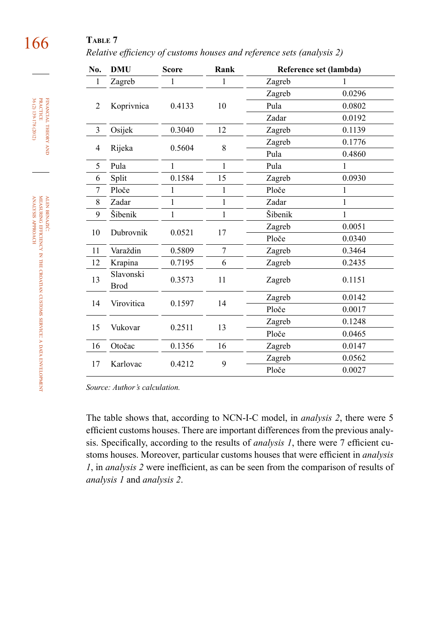#### 166 **Table 7** *Relative efficiency of customs houses and reference sets (analysis 2)*

| No. | <b>DMU</b>  | <b>Score</b> | Rank  | Reference set (lambda) |        |
|-----|-------------|--------------|-------|------------------------|--------|
| 1   | Zagreb      | 1            | 1     | Zagreb                 | 1      |
|     |             |              |       | Zagreb                 | 0.0296 |
| 2   | Koprivnica  | 0.4133       | 10    | Pula                   | 0.0802 |
|     |             |              |       | Zadar                  | 0.0192 |
| 3   | Osijek      | 0.3040       | 12    | Zagreb                 | 0.1139 |
|     |             | 0.5604       | 8     | Zagreb                 | 0.1776 |
| 4   | Rijeka      |              |       | Pula                   | 0.4860 |
| 5   | Pula        | 1            | 1     | Pula                   | 1      |
| 6   | Split       | 0.1584       | 15    | Zagreb                 | 0.0930 |
| 7   | Ploče       | 1            | 1     | Ploče                  | 1      |
| 8   | Zadar       | 1            | 1     | Zadar                  | 1      |
| 9   | Šibenik     | 1            | 1     | Šibenik                | 1      |
| 10  |             | 0.0521       | 17    | Zagreb                 | 0.0051 |
|     | Dubrovnik   |              |       | Ploče                  | 0.0340 |
| 11  | Varaždin    | 0.5809       | 7     | Zagreb                 | 0.3464 |
| 12  | Krapina     | 0.7195       | 6     | Zagreb                 | 0.2435 |
| 13  | Slavonski   | 0.3573       | 11    | Zagreb                 | 0.1151 |
|     | <b>Brod</b> |              |       |                        |        |
| 14  | Virovitica  | 0.1597       | 14    | Zagreb                 | 0.0142 |
|     |             |              |       | Ploče                  | 0.0017 |
| 15  | Vukovar     | 0.2511       | 13    | Zagreb                 | 0.1248 |
|     |             |              |       | Ploče                  | 0.0465 |
| 16  | Otočac      | 0.1356       | 16    | Zagreb                 | 0.0147 |
| 17  | Karlovac    | 0.4212       | 9     | Zagreb                 | 0.0562 |
|     |             |              | Ploče | 0.0027                 |        |

*Source: Author's calculation.*

The table shows that, according to NCN-I-C model, in *analysis 2*, there were 5 efficient customs houses. There are important differences from the previous analysis. Specifically, according to the results of *analysis 1*, there were 7 efficient customs houses. Moreover, particular customs houses that were efficient in *analysis 1*, in *analysis 2* were inefficient, as can be seen from the comparison of results of *analysis 1* and *analysis 2*.

theory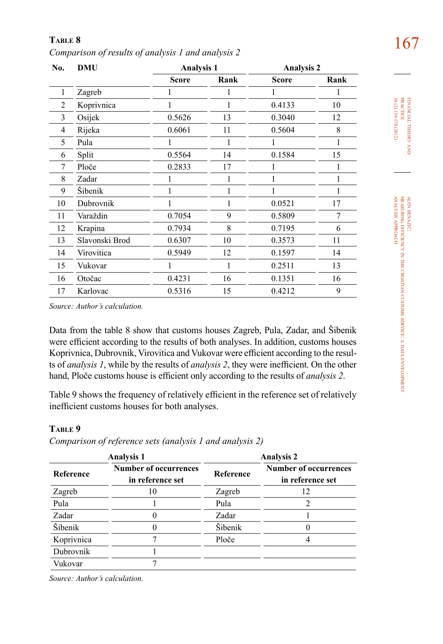| A R I<br>н. |  |
|-------------|--|
|-------------|--|

167 **Table 8** *Comparison of results of analysis 1 and analysis 2*

| No. | <b>DMU</b><br><b>Analysis 1</b> |              | <b>Analysis 2</b> |              |      |
|-----|---------------------------------|--------------|-------------------|--------------|------|
|     |                                 | <b>Score</b> | Rank              | <b>Score</b> | Rank |
| 1   | Zagreb                          |              |                   | 1            | l    |
| 2   | Koprivnica                      |              |                   | 0.4133       | 10   |
| 3   | Osijek                          | 0.5626       | 13                | 0.3040       | 12   |
| 4   | Rijeka                          | 0.6061       | 11                | 0.5604       | 8    |
| 5   | Pula                            | l            | 1                 | 1            | 1    |
| 6   | Split                           | 0.5564       | 14                | 0.1584       | 15   |
| 7   | Ploče                           | 0.2833       | 17                | 1            | 1    |
| 8   | Zadar                           |              | 1                 | 1            | 1    |
| 9   | Šibenik                         |              |                   | 1            | 1    |
| 10  | Dubrovnik                       |              |                   | 0.0521       | 17   |
| 11  | Varaždin                        | 0.7054       | 9                 | 0.5809       | 7    |
| 12  | Krapina                         | 0.7934       | 8                 | 0.7195       | 6    |
| 13  | Slavonski Brod                  | 0.6307       | 10                | 0.3573       | 11   |
| 14  | Virovitica                      | 0.5949       | 12                | 0.1597       | 14   |
| 15  | Vukovar                         |              |                   | 0.2511       | 13   |
| 16  | Otočac                          | 0.4231       | 16                | 0.1351       | 16   |
| 17  | Karlovac                        | 0.5316       | 15                | 0.4212       | 9    |

financial

theory EINANCIAL THEORY AND<br>PRACTICE<br>B6 (2) 139-178 (2012) 36 (2) 139-178 (2012) practice

> alen benazić: measuring

efficiency

analysis

approach

in the

croatian

customs

service: a

data

envelopment

*Source: Author's calculation.*

Data from the table 8 show that customs houses Zagreb, Pula, Zadar, and Šibenik were efficient according to the results of both analyses. In addition, customs houses Koprivnica, Dubrovnik, Virovitica and Vukovar were efficient according to the results of *analysis 1*, while by the results of *analysis 2*, they were inefficient. On the other hand, Ploče customs house is efficient only according to the results of *analysis 2*.

Table 9 shows the frequency of relatively efficient in the reference set of relatively inefficient customs houses for both analyses.

#### **Table 9**

*Comparison of reference sets (analysis 1 and analysis 2)*

|            | <b>Analysis 1</b>                                | <b>Analysis 2</b> |                                                  |  |
|------------|--------------------------------------------------|-------------------|--------------------------------------------------|--|
| Reference  | <b>Number of occurrences</b><br>in reference set | Reference         | <b>Number of occurrences</b><br>in reference set |  |
| Zagreb     | 10                                               | Zagreb            | 12                                               |  |
| Pula       |                                                  | Pula              |                                                  |  |
| Zadar      |                                                  | Zadar             |                                                  |  |
| Šibenik    |                                                  | Šibenik           |                                                  |  |
| Koprivnica |                                                  | Ploče             |                                                  |  |
| Dubrovnik  |                                                  |                   |                                                  |  |
| Vukovar    |                                                  |                   |                                                  |  |

*Source: Author's calculation.*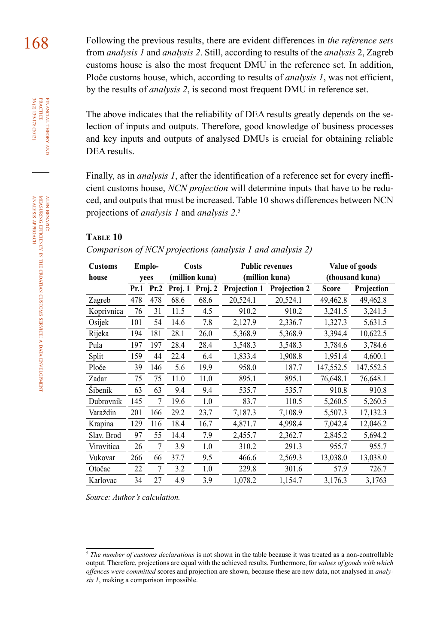168 Following the previous results, there are evident differences in *the reference sets* from *analysis 1* and *analysis 2*. Still, according to results of the *analysis* 2, Zagreb customs house is also the most frequent DMU in the reference set. In addition, Ploče customs house, which, according to results of *analysis 1*, was not efficient, by the results of *analysis 2*, is second most frequent DMU in reference set.

> The above indicates that the reliability of DEA results greatly depends on the selection of inputs and outputs. Therefore, good knowledge of business processes and key inputs and outputs of analysed DMUs is crucial for obtaining reliable DEA results.

> Finally, as in *analysis 1*, after the identification of a reference set for every inefficient customs house, *NCN projection* will determine inputs that have to be reduced, and outputs that must be increased. Table 10 shows differences between NCN projections of *analysis 1* and *analysis 2*.

#### **TABLE 10**

| Comparison of NCN projections (analysis 1 and analysis 2) |  |  |  |  |
|-----------------------------------------------------------|--|--|--|--|
|-----------------------------------------------------------|--|--|--|--|

| <b>Customs</b> |      | Emplo- |         | <b>Costs</b>   | <b>Public revenues</b> |                     | Value of goods |                 |
|----------------|------|--------|---------|----------------|------------------------|---------------------|----------------|-----------------|
| house          |      | yees   |         | (million kuna) |                        | (million kuna)      |                | (thousand kuna) |
|                | Pr.1 | Pr.2   | Proj. 1 | Proj. 2        | <b>Projection 1</b>    | <b>Projection 2</b> | <b>Score</b>   | Projection      |
| Zagreb         | 478  | 478    | 68.6    | 68.6           | 20,524.1               | 20,524.1            | 49,462.8       | 49,462.8        |
| Koprivnica     | 76   | 31     | 11.5    | 4.5            | 910.2                  | 910.2               | 3,241.5        | 3,241.5         |
| Osijek         | 101  | 54     | 14.6    | 7.8            | 2,127.9                | 2,336.7             | 1,327.3        | 5,631.5         |
| Rijeka         | 194  | 181    | 28.1    | 26.0           | 5,368.9                | 5,368.9             | 3.394.4        | 10,622.5        |
| Pula           | 197  | 197    | 28.4    | 28.4           | 3,548.3                | 3.548.3             | 3,784.6        | 3,784.6         |
| Split          | 159  | 44     | 22.4    | 6.4            | 1,833.4                | 1,908.8             | 1,951.4        | 4,600.1         |
| Ploče          | 39   | 146    | 5.6     | 19.9           | 958.0                  | 187.7               | 147,552.5      | 147,552.5       |
| Zadar          | 75   | 75     | 11.0    | 11.0           | 895.1                  | 895.1               | 76,648.1       | 76,648.1        |
| Šibenik        | 63   | 63     | 9.4     | 9.4            | 535.7                  | 535.7               | 910.8          | 910.8           |
| Dubrovnik      | 145  | 7      | 19.6    | 1.0            | 83.7                   | 110.5               | 5,260.5        | 5,260.5         |
| Varaždin       | 201  | 166    | 29.2    | 23.7           | 7,187.3                | 7,108.9             | 5,507.3        | 17,132.3        |
| Krapina        | 129  | 116    | 18.4    | 16.7           | 4,871.7                | 4,998.4             | 7,042.4        | 12,046.2        |
| Slav. Brod     | 97   | 55     | 14.4    | 7.9            | 2,455.7                | 2,362.7             | 2,845.2        | 5,694.2         |
| Virovitica     | 26   | 7      | 3.9     | 1.0            | 310.2                  | 291.3               | 955.7          | 955.7           |
| Vukovar        | 266  | 66     | 37.7    | 9.5            | 466.6                  | 2,569.3             | 13,038.0       | 13,038.0        |
| Otočac         | 22   | 7      | 3.2     | 1.0            | 229.8                  | 301.6               | 57.9           | 726.7           |
| Karlovac       | 34   | 27     | 4.9     | 3.9            | 1,078.2                | 1,154.7             | 3,176.3        | 3,1763          |

*Source: Author's calculation.*

financial

36 (2) 139-178 (2012) PRACTICE

 $36(2)139-178(2012)$ FINANCIAL THEORY<br>PRACTICE

<sup>&</sup>lt;sup>5</sup> The number of customs declarations is not shown in the table because it was treated as a non-controllable output. Therefore, projections are equal with the achieved results. Furthermore, for *values of goods with which offences were committed* scores and projection are shown, because these are new data, not analysed in *analysis 1*, making a comparison impossible.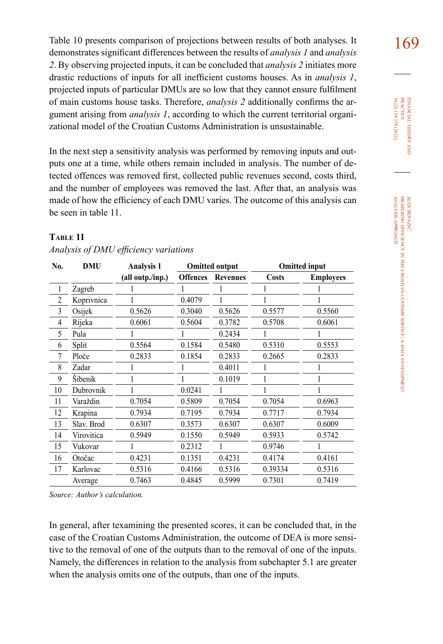Table 10 presents comparison of projections between results of both analyses. It demonstrates significant differences between the results of *analysis 1* and *analysis 2*. By observing projected inputs, it can be concluded that *analysis 2* initiates more drastic reductions of inputs for all inefficient customs houses. As in *analysis 1*, projected inputs of particular DMUs are so low that they cannot ensure fulfilment of main customs house tasks. Therefore, *analysis 2* additionally confirms the argument arising from *analysis 1*, according to which the current territorial organizational model of the Croatian Customs Administration is unsustainable.

In the next step a sensitivity analysis was performed by removing inputs and outputs one at a time, while others remain included in analysis. The number of detected offences was removed first, collected public revenues second, costs third, and the number of employees was removed the last. After that, an analysis was made of how the efficiency of each DMU varies. The outcome of this analysis can be seen in table 11.

#### **TABLE 11**

| No. | <b>DMU</b> | <b>Analysis 1</b> | <b>Omitted output</b> |                 | <b>Omitted input</b> |                  |  |
|-----|------------|-------------------|-----------------------|-----------------|----------------------|------------------|--|
|     |            | (all outp./inp.)  | <b>Offences</b>       | <b>Revenues</b> | <b>Costs</b>         | <b>Employees</b> |  |
| 1   | Zagreb     |                   |                       |                 |                      |                  |  |
| 2   | Koprivnica |                   | 0.4079                |                 |                      |                  |  |
| 3   | Osijek     | 0.5626            | 0.3040                | 0.5626          | 0.5577               | 0.5560           |  |
| 4   | Rijeka     | 0.6061            | 0.5604                | 0.3782          | 0.5708               | 0.6061           |  |
| 5   | Pula       |                   |                       | 0.2434          |                      |                  |  |
| 6   | Split      | 0.5564            | 0.1584                | 0.5480          | 0.5310               | 0.5553           |  |
| 7   | Ploče      | 0.2833            | 0.1854                | 0.2833          | 0.2665               | 0.2833           |  |
| 8   | Zadar      |                   |                       | 0.4011          |                      |                  |  |
| 9   | Šibenik    |                   |                       | 0.1019          |                      |                  |  |
| 10  | Dubrovnik  |                   | 0.0241                |                 |                      |                  |  |
| 11  | Varaždin   | 0.7054            | 0.5809                | 0.7054          | 0.7054               | 0.6963           |  |
| 12  | Krapina    | 0.7934            | 0.7195                | 0.7934          | 0.7717               | 0.7934           |  |
| 13  | Slav. Brod | 0.6307            | 0.3573                | 0.6307          | 0.6307               | 0.6009           |  |
| 14  | Virovitica | 0.5949            | 0.1550                | 0.5949          | 0.5933               | 0.5742           |  |
| 15  | Vukovar    |                   | 0.2312                |                 | 0.9746               |                  |  |
| 16  | Otočac     | 0.4231            | 0.1351                | 0.4231          | 0.4174               | 0.4161           |  |
| 17  | Karlovac   | 0.5316            | 0.4166                | 0.5316          | 0.39334              | 0.5316           |  |
|     | Average    | 0.7463            | 0.4845                | 0.5999          | 0.7301               | 0.7419           |  |

#### *Analysis of DMU efficiency variations*

*Source: Author's calculation.*

In general, after texamining the presented scores, it can be concluded that, in the case of the Croatian Customs Administration, the outcome of DEA is more sensitive to the removal of one of the outputs than to the removal of one of the inputs. Namely, the differences in relation to the analysis from subchapter 5.1 are greater when the analysis omits one of the outputs, than one of the inputs.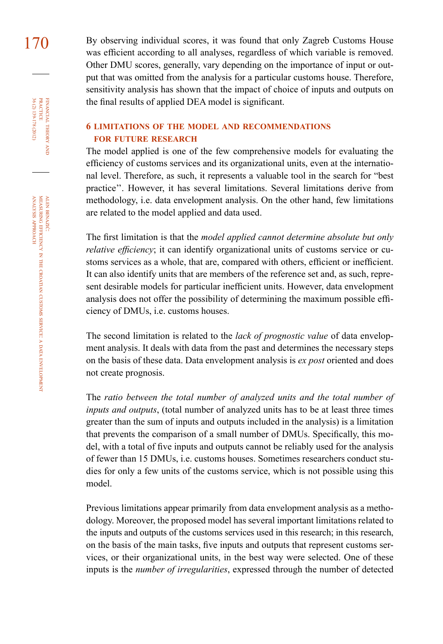170 By observing individual scores, it was found that only Zagreb Customs House was efficient according to all analyses, regardless of which variable is removed. Other DMU scores, generally, vary depending on the importance of input or output that was omitted from the analysis for a particular customs house. Therefore, sensitivity analysis has shown that the impact of choice of inputs and outputs on the final results of applied DEA model is significant.

#### **6 limitations of the model and recommendations for future research**

The model applied is one of the few comprehensive models for evaluating the efficiency of customs services and its organizational units, even at the international level. Therefore, as such, it represents a valuable tool in the search for "best practice''. However, it has several limitations. Several limitations derive from methodology, i.e. data envelopment analysis. On the other hand, few limitations are related to the model applied and data used.

The first limitation is that the *model applied cannot determine absolute but only relative efficiency*; it can identify organizational units of customs service or customs services as a whole, that are, compared with others, efficient or inefficient. It can also identify units that are members of the reference set and, as such, represent desirable models for particular inefficient units. However, data envelopment analysis does not offer the possibility of determining the maximum possible efficiency of DMUs, i.e. customs houses.

The second limitation is related to the *lack of prognostic value* of data envelopment analysis. It deals with data from the past and determines the necessary steps on the basis of these data. Data envelopment analysis is *ex post* oriented and does not create prognosis.

The *ratio between the total number of analyzed units and the total number of inputs and outputs*, (total number of analyzed units has to be at least three times greater than the sum of inputs and outputs included in the analysis) is a limitation that prevents the comparison of a small number of DMUs. Specifically, this model, with a total of five inputs and outputs cannot be reliably used for the analysis of fewer than 15 DMUs, i.e. customs houses. Sometimes researchers conduct studies for only a few units of the customs service, which is not possible using this model.

Previous limitations appear primarily from data envelopment analysis as a methodology. Moreover, the proposed model has several important limitations related to the inputs and outputs of the customs services used in this research; in this research, on the basis of the main tasks, five inputs and outputs that represent customs services, or their organizational units, in the best way were selected. One of these inputs is the *number of irregularities*, expressed through the number of detected

financial

FINANCIAL THEORY<br>PRACTICE 36 (2) 139-178 (2012)

36 (2) 139-178 (2012) PRACTICE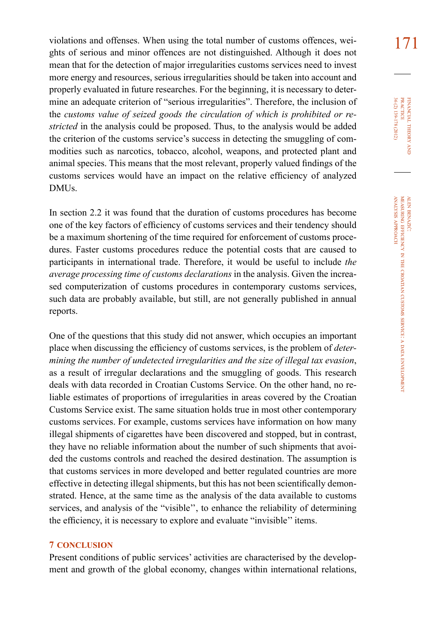violations and offenses. When using the total number of customs offences, wei171 ghts of serious and minor offences are not distinguished. Although it does not mean that for the detection of major irregularities customs services need to invest more energy and resources, serious irregularities should be taken into account and properly evaluated in future researches. For the beginning, it is necessary to determine an adequate criterion of "serious irregularities". Therefore, the inclusion of the *customs value of seized goods the circulation of which is prohibited or restricted* in the analysis could be proposed. Thus, to the analysis would be added the criterion of the customs service's success in detecting the smuggling of commodities such as narcotics, tobacco, alcohol, weapons, and protected plant and animal species. This means that the most relevant, properly valued findings of the customs services would have an impact on the relative efficiency of analyzed DMUs.

In section 2.2 it was found that the duration of customs procedures has become one of the key factors of efficiency of customs services and their tendency should be a maximum shortening of the time required for enforcement of customs procedures. Faster customs procedures reduce the potential costs that are caused to participants in international trade. Therefore, it would be useful to include *the average processing time of customs declarations* in the analysis. Given the increased computerization of customs procedures in contemporary customs services, such data are probably available, but still, are not generally published in annual reports.

One of the questions that this study did not answer, which occupies an important place when discussing the efficiency of customs services, is the problem of *determining the number of undetected irregularities and the size of illegal tax evasion*, as a result of irregular declarations and the smuggling of goods. This research deals with data recorded in Croatian Customs Service. On the other hand, no reliable estimates of proportions of irregularities in areas covered by the Croatian Customs Service exist. The same situation holds true in most other contemporary customs services. For example, customs services have information on how many illegal shipments of cigarettes have been discovered and stopped, but in contrast, they have no reliable information about the number of such shipments that avoided the customs controls and reached the desired destination. The assumption is that customs services in more developed and better regulated countries are more effective in detecting illegal shipments, but this has not been scientifically demonstrated. Hence, at the same time as the analysis of the data available to customs services, and analysis of the "visible'', to enhance the reliability of determining the efficiency, it is necessary to explore and evaluate "invisible'' items.

#### **7 conclusion**

Present conditions of public services' activities are characterised by the development and growth of the global economy, changes within international relations, 36 (2) 139-178 (2012) FINANCIAL THEORY<br>PRACTICE 36 (2) 139-178 (2012) practice financial theory i<br>And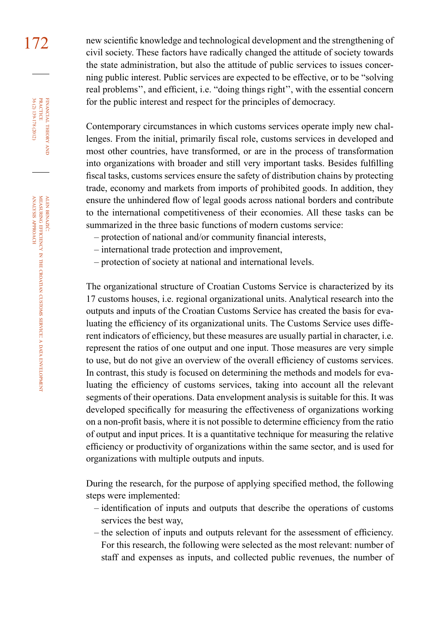172 new scientific knowledge and technological development and the strengthening of civil society. These factors have radically changed the attitude of society towards the state administration, but also the attitude of public services to issues concerning public interest. Public services are expected to be effective, or to be "solving real problems'', and efficient, i.e. "doing things right'', with the essential concern for the public interest and respect for the principles of democracy.

> Contemporary circumstances in which customs services operate imply new challenges. From the initial, primarily fiscal role, customs services in developed and most other countries, have transformed, or are in the process of transformation into organizations with broader and still very important tasks. Besides fulfilling fiscal tasks, customs services ensure the safety of distribution chains by protecting trade, economy and markets from imports of prohibited goods. In addition, they ensure the unhindered flow of legal goods across national borders and contribute to the international competitiveness of their economies. All these tasks can be summarized in the three basic functions of modern customs service:

- protection of national and/or community financial interests,
- international trade protection and improvement,
- protection of society at national and international levels.

The organizational structure of Croatian Customs Service is characterized by its 17 customs houses, i.e. regional organizational units. Analytical research into the outputs and inputs of the Croatian Customs Service has created the basis for evaluating the efficiency of its organizational units. The Customs Service uses different indicators of efficiency, but these measures are usually partial in character, i.e. represent the ratios of one output and one input. Those measures are very simple to use, but do not give an overview of the overall efficiency of customs services. In contrast, this study is focused on determining the methods and models for evaluating the efficiency of customs services, taking into account all the relevant segments of their operations. Data envelopment analysis is suitable for this. It was developed specifically for measuring the effectiveness of organizations working on a non-profit basis, where it is not possible to determine efficiency from the ratio of output and input prices. It is a quantitative technique for measuring the relative efficiency or productivity of organizations within the same sector, and is used for organizations with multiple outputs and inputs.

During the research, for the purpose of applying specified method, the following steps were implemented:

- identification of inputs and outputs that describe the operations of customs services the best way,
- the selection of inputs and outputs relevant for the assessment of efficiency. For this research, the following were selected as the most relevant: number of staff and expenses as inputs, and collected public revenues, the number of

financial

FINANCIAL THEORY<br>PRACTICE 36 (2) 139-178 (2012)

36 (2) 139-178 (2012) PRACTICE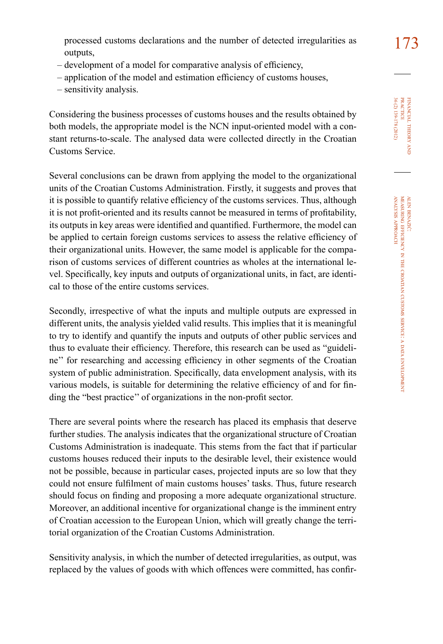- development of a model for comparative analysis of efficiency,
- application of the model and estimation efficiency of customs houses,
- sensitivity analysis.

Considering the business processes of customs houses and the results obtained by both models, the appropriate model is the NCN input-oriented model with a constant returns-to-scale. The analysed data were collected directly in the Croatian Customs Service.

Several conclusions can be drawn from applying the model to the organizational units of the Croatian Customs Administration. Firstly, it suggests and proves that it is possible to quantify relative efficiency of the customs services. Thus, although it is not profit-oriented and its results cannot be measured in terms of profitability, its outputs in key areas were identified and quantified. Furthermore, the model can be applied to certain foreign customs services to assess the relative efficiency of their organizational units. However, the same model is applicable for the comparison of customs services of different countries as wholes at the international level. Specifically, key inputs and outputs of organizational units, in fact, are identical to those of the entire customs services.

Secondly, irrespective of what the inputs and multiple outputs are expressed in different units, the analysis yielded valid results. This implies that it is meaningful to try to identify and quantify the inputs and outputs of other public services and thus to evaluate their efficiency. Therefore, this research can be used as "guideline'' for researching and accessing efficiency in other segments of the Croatian system of public administration. Specifically, data envelopment analysis, with its various models, is suitable for determining the relative efficiency of and for finding the "best practice'' of organizations in the non-profit sector.

There are several points where the research has placed its emphasis that deserve further studies. The analysis indicates that the organizational structure of Croatian Customs Administration is inadequate. This stems from the fact that if particular customs houses reduced their inputs to the desirable level, their existence would not be possible, because in particular cases, projected inputs are so low that they could not ensure fulfilment of main customs houses' tasks. Thus, future research should focus on finding and proposing a more adequate organizational structure. Moreover, an additional incentive for organizational change is the imminent entry of Croatian accession to the European Union, which will greatly change the territorial organization of the Croatian Customs Administration.

Sensitivity analysis, in which the number of detected irregularities, as output, was replaced by the values of goods with which offences were committed, has confir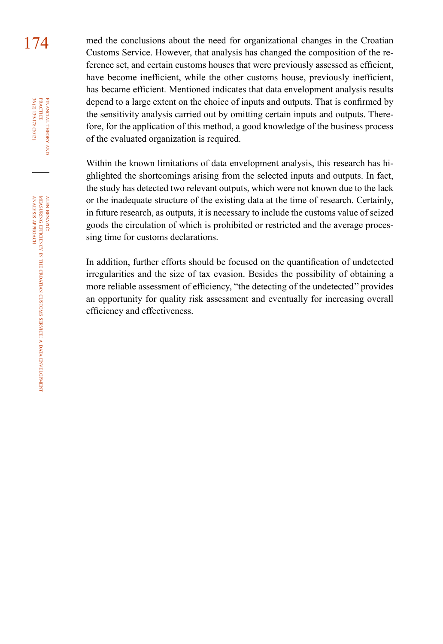174 med the conclusions about the need for organizational changes in the Croatian Customs Service. However, that analysis has changed the composition of the reference set, and certain customs houses that were previously assessed as efficient, have become inefficient, while the other customs house, previously inefficient, has became efficient. Mentioned indicates that data envelopment analysis results depend to a large extent on the choice of inputs and outputs. That is confirmed by the sensitivity analysis carried out by omitting certain inputs and outputs. Therefore, for the application of this method, a good knowledge of the business process of the evaluated organization is required.

> Within the known limitations of data envelopment analysis, this research has highlighted the shortcomings arising from the selected inputs and outputs. In fact, the study has detected two relevant outputs, which were not known due to the lack or the inadequate structure of the existing data at the time of research. Certainly, in future research, as outputs, it is necessary to include the customs value of seized goods the circulation of which is prohibited or restricted and the average processing time for customs declarations.

> In addition, further efforts should be focused on the quantification of undetected irregularities and the size of tax evasion. Besides the possibility of obtaining a more reliable assessment of efficiency, "the detecting of the undetected'' provides an opportunity for quality risk assessment and eventually for increasing overall efficiency and effectiveness.

financial

FINANCIAL THEORY<br>PRACTICE 36 (2) 139-178 (2012)

36 (2) 139-178 (2012) PRACTICE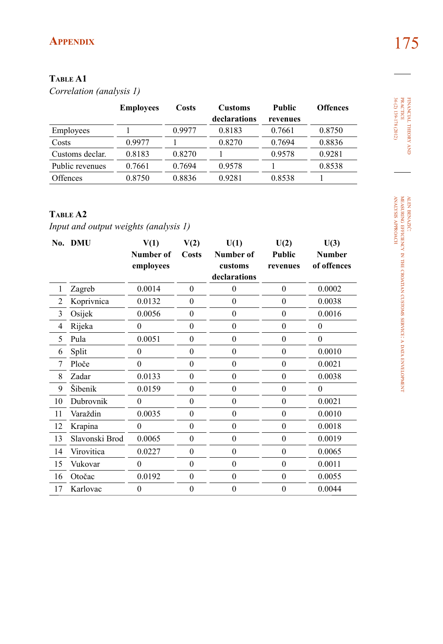### **Appendix** 175

#### **Table A1**

*Correlation (analysis 1)*

|                 | <b>Employees</b> | Costs  | <b>Customs</b> | <b>Public</b> | <b>Offences</b> |
|-----------------|------------------|--------|----------------|---------------|-----------------|
|                 |                  |        | declarations   | revenues      |                 |
| Employees       |                  | 0.9977 | 0.8183         | 0.7661        | 0.8750          |
| Costs           | 0.9977           |        | 0.8270         | 0.7694        | 0.8836          |
| Customs declar. | 0.8183           | 0.8270 |                | 0.9578        | 0.9281          |
| Public revenues | 0.7661           | 0.7694 | 0.9578         |               | 0.8538          |
| Offences        | 0.8750           | 0.8836 | 0.9281         | 0.8538        |                 |

#### **Table A2**

*Input and output weights (analysis 1)*

|                | No. DMU        | V(1)<br>Number of<br>employees | V(2)<br><b>Costs</b> | U(1)<br>Number of<br>customs | U(2)<br><b>Public</b><br>revenues | U(3)<br><b>Number</b><br>of offences |
|----------------|----------------|--------------------------------|----------------------|------------------------------|-----------------------------------|--------------------------------------|
|                |                |                                |                      | declarations                 |                                   |                                      |
| 1              | Zagreb         | 0.0014                         | $\theta$             | $\theta$                     | $\theta$                          | 0.0002                               |
| 2              | Koprivnica     | 0.0132                         | $\theta$             | $\theta$                     | $\theta$                          | 0.0038                               |
| 3              | Osijek         | 0.0056                         | $\theta$             | $\theta$                     | $\theta$                          | 0.0016                               |
| $\overline{4}$ | Rijeka         | 0                              | $\mathbf{0}$         | $\theta$                     | $\boldsymbol{0}$                  | $\theta$                             |
| 5              | Pula           | 0.0051                         | $\boldsymbol{0}$     | $\boldsymbol{0}$             | $\boldsymbol{0}$                  | $\theta$                             |
| 6              | Split          | $\theta$                       | $\theta$             | $\theta$                     | $\Omega$                          | 0.0010                               |
| 7              | Ploče          | $\theta$                       | $\theta$             | $\theta$                     | $\theta$                          | 0.0021                               |
| 8              | Zadar          | 0.0133                         | $\theta$             | $\theta$                     | $\theta$                          | 0.0038                               |
| 9              | Šibenik        | 0.0159                         | $\mathbf{0}$         | $\mathbf{0}$                 | $\theta$                          | $\theta$                             |
| 10             | Dubrovnik      | $\overline{0}$                 | $\mathbf{0}$         | $\mathbf{0}$                 | $\theta$                          | 0.0021                               |
| 11             | Varaždin       | 0.0035                         | $\boldsymbol{0}$     | $\theta$                     | $\boldsymbol{0}$                  | 0.0010                               |
| 12             | Krapina        | $\theta$                       | $\theta$             | $\theta$                     | $\theta$                          | 0.0018                               |
| 13             | Slavonski Brod | 0.0065                         | $\mathbf{0}$         | $\Omega$                     | $\theta$                          | 0.0019                               |
| 14             | Virovitica     | 0.0227                         | $\mathbf{0}$         | $\theta$                     | $\theta$                          | 0.0065                               |
| 15             | Vukovar        | $\theta$                       | $\mathbf{0}$         | $\mathbf{0}$                 | $\theta$                          | 0.0011                               |
| 16             | Otočac         | 0.0192                         | $\boldsymbol{0}$     | $\theta$                     | $\boldsymbol{0}$                  | 0.0055                               |
| 17             | Karlovac       | $\overline{0}$                 | $\mathbf{0}$         | $\theta$                     | $\mathbf{0}$                      | 0.0044                               |

financial FINANCIAL THEORY AND<br>PRACTICE<br>36 (2) 139-178 (2012) 36 (2) 139-178 (2012) practice

theory

analysis

approach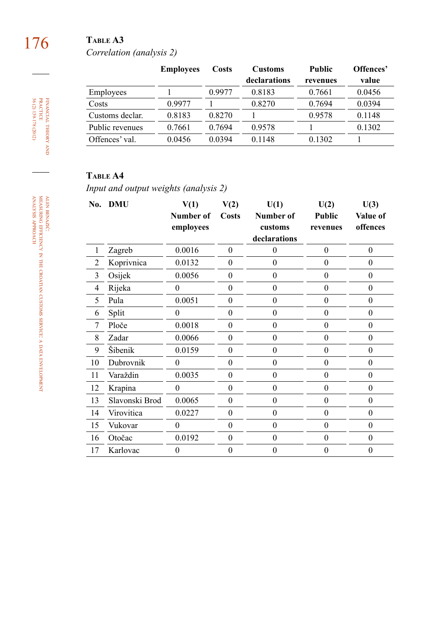## 176 **Table A3**

*Correlation (analysis 2)*

|                  | <b>Employees</b> | Costs  | <b>Customs</b> | <b>Public</b> | Offences' |
|------------------|------------------|--------|----------------|---------------|-----------|
|                  |                  |        | declarations   | revenues      | value     |
| <b>Employees</b> |                  | 0.9977 | 0.8183         | 0.7661        | 0.0456    |
| Costs            | 0.9977           |        | 0.8270         | 0.7694        | 0.0394    |
| Customs declar.  | 0.8183           | 0.8270 |                | 0.9578        | 0.1148    |
| Public revenues  | 0.7661           | 0.7694 | 0.9578         |               | 0.1302    |
| Offences' val.   | 0.0456           | 0.0394 | 0.1148         | 0.1302        |           |

#### **Table A4**

*Input and output weights (analysis 2)*

| No.            | DMU            | V(1)<br>Number of<br>employees | V(2)<br><b>Costs</b> | U(1)<br>Number of<br>customs     | U(2)<br><b>Public</b><br>revenues | U(3)<br>Value of<br>offences |
|----------------|----------------|--------------------------------|----------------------|----------------------------------|-----------------------------------|------------------------------|
| 1              | Zagreb         | 0.0016                         | $\mathbf{0}$         | declarations<br>$\boldsymbol{0}$ | $\theta$                          | $\mathbf{0}$                 |
| $\overline{2}$ | Koprivnica     | 0.0132                         | $\theta$             | $\theta$                         | $\theta$                          | $\theta$                     |
| 3              | Osijek         | 0.0056                         | $\mathbf{0}$         | $\mathbf{0}$                     | $\mathbf{0}$                      | $\theta$                     |
| $\overline{4}$ | Rijeka         | $\boldsymbol{0}$               | $\mathbf{0}$         | $\mathbf{0}$                     | $\mathbf{0}$                      | $\mathbf{0}$                 |
| 5              | Pula           | 0.0051                         | $\boldsymbol{0}$     | $\mathbf{0}$                     | $\mathbf{0}$                      | $\theta$                     |
| 6              | Split          | $\theta$                       | $\theta$             | $\mathbf{0}$                     | $\mathbf{0}$                      | $\theta$                     |
| 7              | Ploče          | 0.0018                         | $\theta$             | $\mathbf{0}$                     | $\mathbf{0}$                      | $\theta$                     |
| 8              | Zadar          | 0.0066                         | $\theta$             | $\mathbf{0}$                     | $\mathbf{0}$                      | $\theta$                     |
| 9              | Šibenik        | 0.0159                         | $\mathbf{0}$         | $\mathbf{0}$                     | $\mathbf{0}$                      | $\mathbf{0}$                 |
| 10             | Dubrovnik      | $\theta$                       | $\mathbf{0}$         | $\mathbf{0}$                     | $\mathbf{0}$                      | $\mathbf{0}$                 |
| 11             | Varaždin       | 0.0035                         | $\mathbf{0}$         | $\mathbf{0}$                     | $\mathbf{0}$                      | $\mathbf{0}$                 |
| 12             | Krapina        | $\mathbf{0}$                   | $\overline{0}$       | $\mathbf{0}$                     | $\mathbf{0}$                      | $\mathbf{0}$                 |
| 13             | Slavonski Brod | 0.0065                         | $\theta$             | $\mathbf{0}$                     | $\mathbf{0}$                      | $\theta$                     |
| 14             | Virovitica     | 0.0227                         | $\mathbf{0}$         | $\mathbf{0}$                     | $\mathbf{0}$                      | $\theta$                     |
| 15             | Vukovar        | $\mathbf{0}$                   | $\theta$             | $\mathbf{0}$                     | $\mathbf{0}$                      | $\theta$                     |
| 16             | Otočac         | 0.0192                         | $\boldsymbol{0}$     | $\boldsymbol{0}$                 | $\mathbf{0}$                      | $\theta$                     |
| 17             | Karlovac       | $\boldsymbol{0}$               | 0                    | $\boldsymbol{0}$                 | $\mathbf{0}$                      | $\mathbf{0}$                 |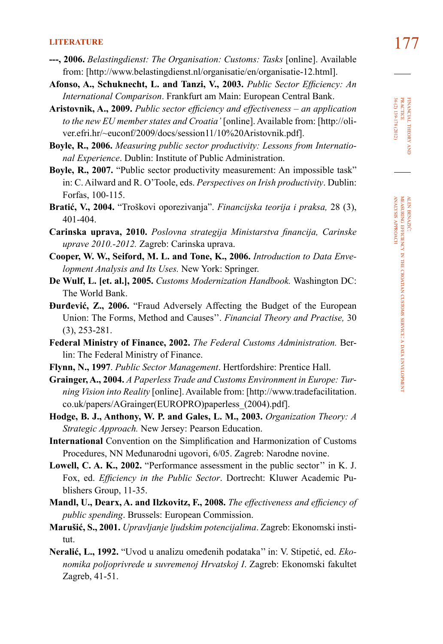### **literature** 177

- **---, 2006.** *Belastingdienst: The Organisation: Customs: Tasks* [online]. Available from: [http://www.belastingdienst.nl/organisatie/en/organisatie-12.html].
- **Afonso, A., Schuknecht, L. and Tanzi, V., 2003.** *Public Sector Efficiency: An International Comparison*. Frankfurt am Main: European Central Bank.
- **Aristovnik, A., 2009.** *Public sector efficiency and effectiveness an application to the new EU member states and Croatia'* [online]. Available from: [http://oliver.efri.hr/~euconf/2009/docs/session11/10%20Aristovnik.pdf].
- **Boyle, R., 2006.** *Measuring public sector productivity: Lessons from International Experience*. Dublin: Institute of Public Administration.
- **Boyle, R., 2007.** "Public sector productivity measurement: An impossible task" in: C. Ailward and R. O'Toole, eds. *Perspectives on Irish productivity*. Dublin: Forfas, 100-115.
- **Bratić, V., 2004.** "Troškovi oporezivanja". *Financijska teorija i praksa,* 28 (3), 401-404.
- **Carinska uprava, 2010.** *Poslovna strategija Ministarstva financija, Carinske uprave 2010.-2012.* Zagreb: Carinska uprava.
- **Cooper, W. W., Seiford, M. L. and Tone, K., 2006.** *Introduction to Data Envelopment Analysis and Its Uses.* New York: Springer.
- **De Wulf, L. [et. al.], 2005.** *Customs Modernization Handbook.* Washington DC: The World Bank.
- **Đurđević, Z., 2006.** "Fraud Adversely Affecting the Budget of the European Union: The Forms, Method and Causes''. *Financial Theory and Practise,* 30 (3), 253-281.
- **Federal Ministry of Finance, 2002.** *The Federal Customs Administration.* Berlin: The Federal Ministry of Finance.
- **Flynn, N., 1997**. *Public Sector Management*. Hertfordshire: Prentice Hall.
- **Grainger, A., 2004.** *A Paperless Trade and Customs Environment in Europe: Turning Vision into Reality* [online]. Available from: [http://www.tradefacilitation. co.uk/papers/AGrainger(EUROPRO)paperless\_(2004).pdf].
- **Hodge, B. J., Anthony, W. P. and Gales, L. M., 2003.** *Organization Theory: A Strategic Approach.* New Jersey: Pearson Education.
- **International** Convention on the Simplification and Harmonization of Customs Procedures, NN Međunarodni ugovori, 6/05. Zagreb: Narodne novine.
- **Lowell, C. A. K., 2002.** "Performance assessment in the public sector'' in K. J. Fox, ed. *Efficiency in the Public Sector*. Dortrecht: Kluwer Academic Publishers Group, 11-35.
- **Mandl, U., Dearx, A. and Ilzkovitz, F., 2008.** *The effectiveness and efficiency of public spending*. Brussels: European Commission.
- **Marušić, S., 2001.** *Upravljanje ljudskim potencijalima*. Zagreb: Ekonomski institut.
- **Neralić, L., 1992.** "Uvod u analizu omeđenih podataka'' in: V. Stipetić, ed. *Ekonomika poljoprivrede u suvremenoj Hrvatskoj I*. Zagreb: Ekonomski fakultet Zagreb, 41-51.